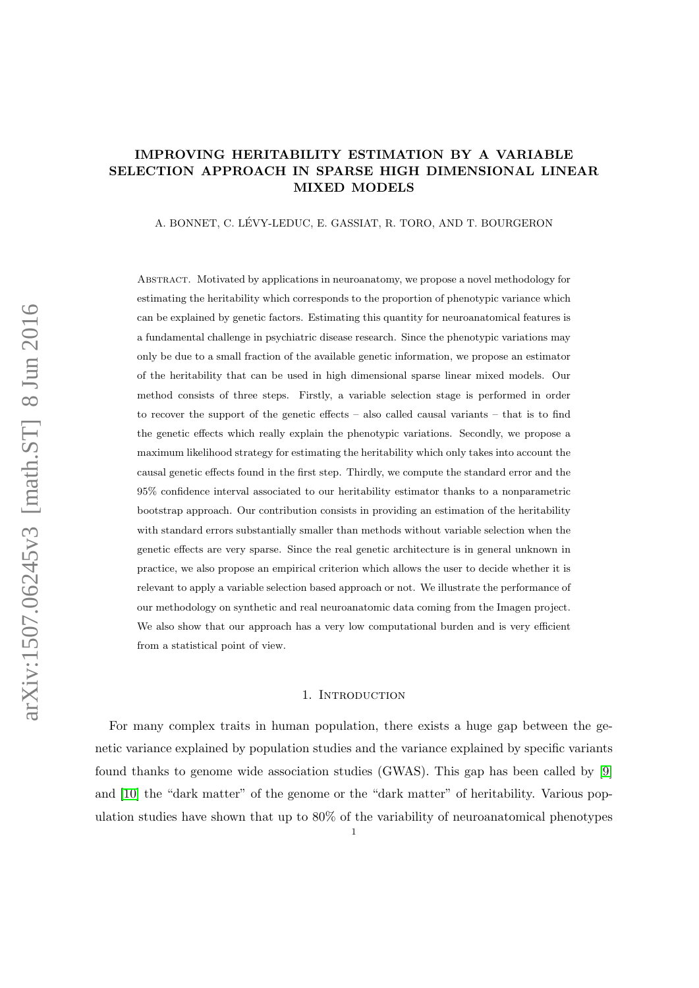# IMPROVING HERITABILITY ESTIMATION BY A VARIABLE SELECTION APPROACH IN SPARSE HIGH DIMENSIONAL LINEAR MIXED MODELS

A. BONNET, C. LÉVY-LEDUC, E. GASSIAT, R. TORO, AND T. BOURGERON

Abstract. Motivated by applications in neuroanatomy, we propose a novel methodology for estimating the heritability which corresponds to the proportion of phenotypic variance which can be explained by genetic factors. Estimating this quantity for neuroanatomical features is a fundamental challenge in psychiatric disease research. Since the phenotypic variations may only be due to a small fraction of the available genetic information, we propose an estimator of the heritability that can be used in high dimensional sparse linear mixed models. Our method consists of three steps. Firstly, a variable selection stage is performed in order to recover the support of the genetic effects – also called causal variants – that is to find the genetic effects which really explain the phenotypic variations. Secondly, we propose a maximum likelihood strategy for estimating the heritability which only takes into account the causal genetic effects found in the first step. Thirdly, we compute the standard error and the 95% confidence interval associated to our heritability estimator thanks to a nonparametric bootstrap approach. Our contribution consists in providing an estimation of the heritability with standard errors substantially smaller than methods without variable selection when the genetic effects are very sparse. Since the real genetic architecture is in general unknown in practice, we also propose an empirical criterion which allows the user to decide whether it is relevant to apply a variable selection based approach or not. We illustrate the performance of our methodology on synthetic and real neuroanatomic data coming from the Imagen project. We also show that our approach has a very low computational burden and is very efficient from a statistical point of view.

### 1. INTRODUCTION

For many complex traits in human population, there exists a huge gap between the genetic variance explained by population studies and the variance explained by specific variants found thanks to genome wide association studies (GWAS). This gap has been called by [\[9\]](#page-25-0) and [\[10\]](#page-25-1) the "dark matter" of the genome or the "dark matter" of heritability. Various population studies have shown that up to 80% of the variability of neuroanatomical phenotypes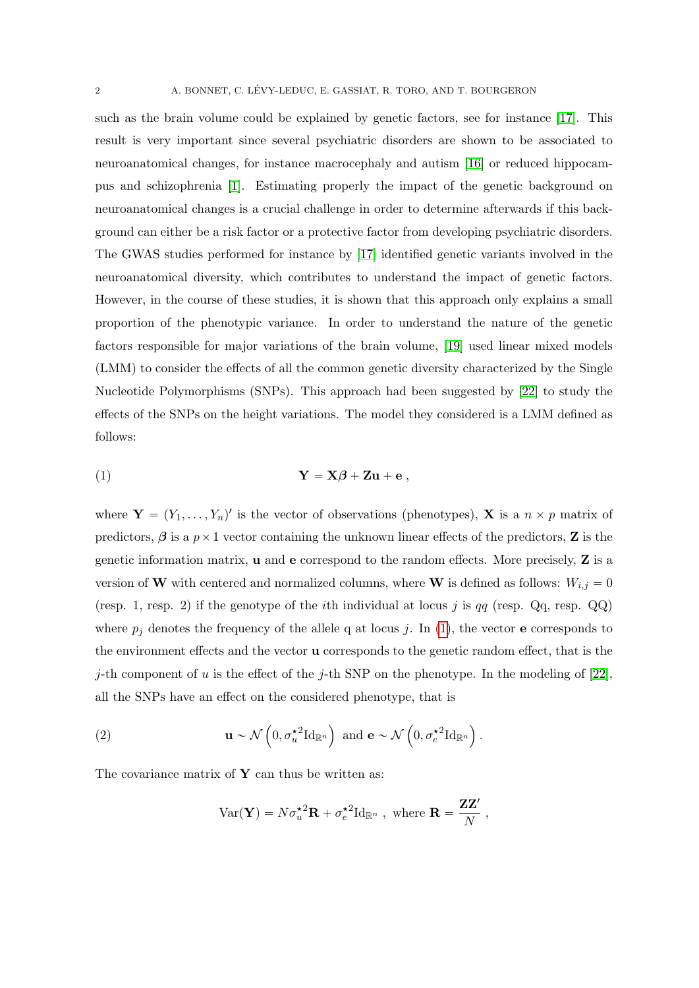such as the brain volume could be explained by genetic factors, see for instance [\[17\]](#page-26-0). This result is very important since several psychiatric disorders are shown to be associated to neuroanatomical changes, for instance macrocephaly and autism [\[16\]](#page-25-2) or reduced hippocampus and schizophrenia [\[1\]](#page-25-3). Estimating properly the impact of the genetic background on neuroanatomical changes is a crucial challenge in order to determine afterwards if this background can either be a risk factor or a protective factor from developing psychiatric disorders. The GWAS studies performed for instance by [\[17\]](#page-26-0) identified genetic variants involved in the neuroanatomical diversity, which contributes to understand the impact of genetic factors. However, in the course of these studies, it is shown that this approach only explains a small proportion of the phenotypic variance. In order to understand the nature of the genetic factors responsible for major variations of the brain volume, [\[19\]](#page-26-1) used linear mixed models (LMM) to consider the effects of all the common genetic diversity characterized by the Single Nucleotide Polymorphisms (SNPs). This approach had been suggested by [\[22\]](#page-26-2) to study the effects of the SNPs on the height variations. The model they considered is a LMM defined as follows:

<span id="page-1-0"></span>
$$
Y = X\beta + Zu + e ,
$$

where  $\mathbf{Y} = (Y_1, \ldots, Y_n)'$  is the vector of observations (phenotypes), **X** is a  $n \times p$  matrix of predictors,  $\beta$  is a  $p \times 1$  vector containing the unknown linear effects of the predictors, **Z** is the genetic information matrix, u and e correspond to the random effects. More precisely, Z is a version of W with centered and normalized columns, where W is defined as follows:  $W_{i,j} = 0$ (resp. 1, resp. 2) if the genotype of the *i*th individual at locus j is  $qq$  (resp. Qq, resp. QQ) where  $p_j$  denotes the frequency of the allele q at locus j. In [\(1\)](#page-1-0), the vector **e** corresponds to the environment effects and the vector u corresponds to the genetic random effect, that is the j-th component of u is the effect of the j-th SNP on the phenotype. In the modeling of [\[22\]](#page-26-2), all the SNPs have an effect on the considered phenotype, that is

(2) 
$$
\mathbf{u} \sim \mathcal{N}\left(0, \sigma_u^{\star 2} \mathrm{Id}_{\mathbb{R}^n}\right) \text{ and } \mathbf{e} \sim \mathcal{N}\left(0, \sigma_e^{\star 2} \mathrm{Id}_{\mathbb{R}^n}\right).
$$

The covariance matrix of  $Y$  can thus be written as:

<span id="page-1-1"></span>
$$
Var(\mathbf{Y}) = N \sigma_u^{\star 2} \mathbf{R} + \sigma_e^{\star 2} Id_{\mathbb{R}^n} , \text{ where } \mathbf{R} = \frac{\mathbf{ZZ}'}{N} ,
$$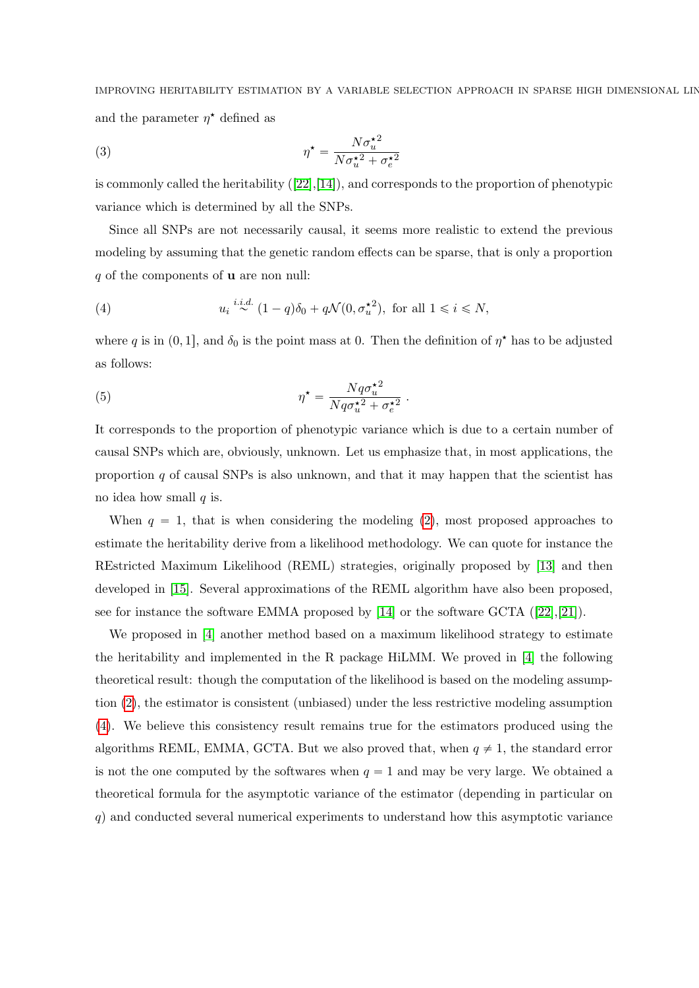IMPROVING HERITABILITY ESTIMATION BY A VARIABLE SELECTION APPROACH IN SPARSE HIGH DIMENSIONAL LIN and the parameter  $\eta^*$  defined as

(3) 
$$
\eta^{\star} = \frac{N\sigma_u^{\star 2}}{N\sigma_u^{\star 2} + \sigma_e^{\star 2}}
$$

iscommonly called the heritability  $([22],[14])$  $([22],[14])$  $([22],[14])$  $([22],[14])$  $([22],[14])$ , and corresponds to the proportion of phenotypic variance which is determined by all the SNPs.

Since all SNPs are not necessarily causal, it seems more realistic to extend the previous modeling by assuming that the genetic random effects can be sparse, that is only a proportion  $q$  of the components of **u** are non null:

<span id="page-2-0"></span>(4) 
$$
u_i \stackrel{i.i.d.}{\sim} (1-q)\delta_0 + q\mathcal{N}(0, \sigma_u^{\star 2}), \text{ for all } 1 \leq i \leq N,
$$

where q is in  $(0, 1]$ , and  $\delta_0$  is the point mass at 0. Then the definition of  $\eta^*$  has to be adjusted as follows:

(5) 
$$
\eta^* = \frac{Nq\sigma_u^{*2}}{Nq\sigma_u^{*2} + \sigma_e^{*2}}.
$$

It corresponds to the proportion of phenotypic variance which is due to a certain number of causal SNPs which are, obviously, unknown. Let us emphasize that, in most applications, the proportion  $q$  of causal SNPs is also unknown, and that it may happen that the scientist has no idea how small  $q$  is.

When  $q = 1$ , that is when considering the modeling [\(2\)](#page-1-1), most proposed approaches to estimate the heritability derive from a likelihood methodology. We can quote for instance the REstricted Maximum Likelihood (REML) strategies, originally proposed by [\[13\]](#page-25-5) and then developed in [\[15\]](#page-25-6). Several approximations of the REML algorithm have also been proposed, seefor instance the software EMMA proposed by  $[14]$  or the software GCTA  $([22],[21])$  $([22],[21])$  $([22],[21])$  $([22],[21])$  $([22],[21])$ .

We proposed in [\[4\]](#page-25-7) another method based on a maximum likelihood strategy to estimate the heritability and implemented in the R package HiLMM. We proved in [\[4\]](#page-25-7) the following theoretical result: though the computation of the likelihood is based on the modeling assumption [\(2\)](#page-1-1), the estimator is consistent (unbiased) under the less restrictive modeling assumption [\(4\)](#page-2-0). We believe this consistency result remains true for the estimators produced using the algorithms REML, EMMA, GCTA. But we also proved that, when  $q \neq 1$ , the standard error is not the one computed by the softwares when  $q = 1$  and may be very large. We obtained a theoretical formula for the asymptotic variance of the estimator (depending in particular on  $q$ ) and conducted several numerical experiments to understand how this asymptotic variance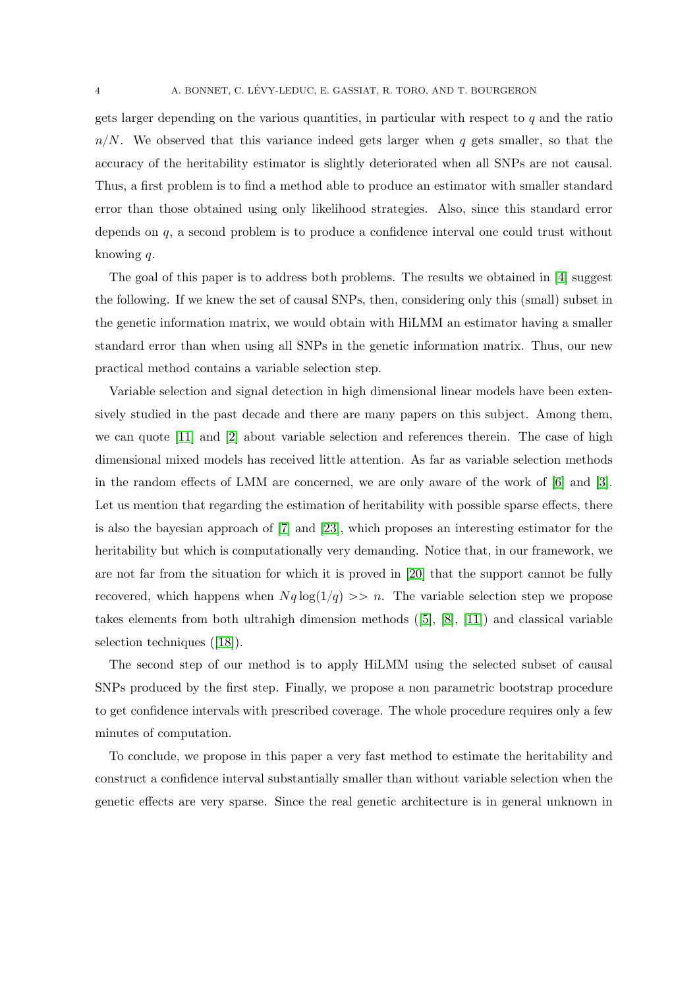gets larger depending on the various quantities, in particular with respect to  $q$  and the ratio  $n/N$ . We observed that this variance indeed gets larger when q gets smaller, so that the accuracy of the heritability estimator is slightly deteriorated when all SNPs are not causal. Thus, a first problem is to find a method able to produce an estimator with smaller standard error than those obtained using only likelihood strategies. Also, since this standard error depends on q, a second problem is to produce a confidence interval one could trust without knowing q.

The goal of this paper is to address both problems. The results we obtained in [\[4\]](#page-25-7) suggest the following. If we knew the set of causal SNPs, then, considering only this (small) subset in the genetic information matrix, we would obtain with HiLMM an estimator having a smaller standard error than when using all SNPs in the genetic information matrix. Thus, our new practical method contains a variable selection step.

Variable selection and signal detection in high dimensional linear models have been extensively studied in the past decade and there are many papers on this subject. Among them, we can quote [\[11\]](#page-25-8) and [\[2\]](#page-25-9) about variable selection and references therein. The case of high dimensional mixed models has received little attention. As far as variable selection methods in the random effects of LMM are concerned, we are only aware of the work of [\[6\]](#page-25-10) and [\[3\]](#page-25-11). Let us mention that regarding the estimation of heritability with possible sparse effects, there is also the bayesian approach of [\[7\]](#page-25-12) and [\[23\]](#page-27-0), which proposes an interesting estimator for the heritability but which is computationally very demanding. Notice that, in our framework, we are not far from the situation for which it is proved in [\[20\]](#page-26-4) that the support cannot be fully recovered, which happens when  $Nq \log(1/q) >> n$ . The variable selection step we propose takeselements from both ultrahigh dimension methods  $([5], [8], [11])$  $([5], [8], [11])$  $([5], [8], [11])$  $([5], [8], [11])$  $([5], [8], [11])$  $([5], [8], [11])$  $([5], [8], [11])$  and classical variable selection techniques([\[18\]](#page-26-5)).

The second step of our method is to apply HiLMM using the selected subset of causal SNPs produced by the first step. Finally, we propose a non parametric bootstrap procedure to get confidence intervals with prescribed coverage. The whole procedure requires only a few minutes of computation.

To conclude, we propose in this paper a very fast method to estimate the heritability and construct a confidence interval substantially smaller than without variable selection when the genetic effects are very sparse. Since the real genetic architecture is in general unknown in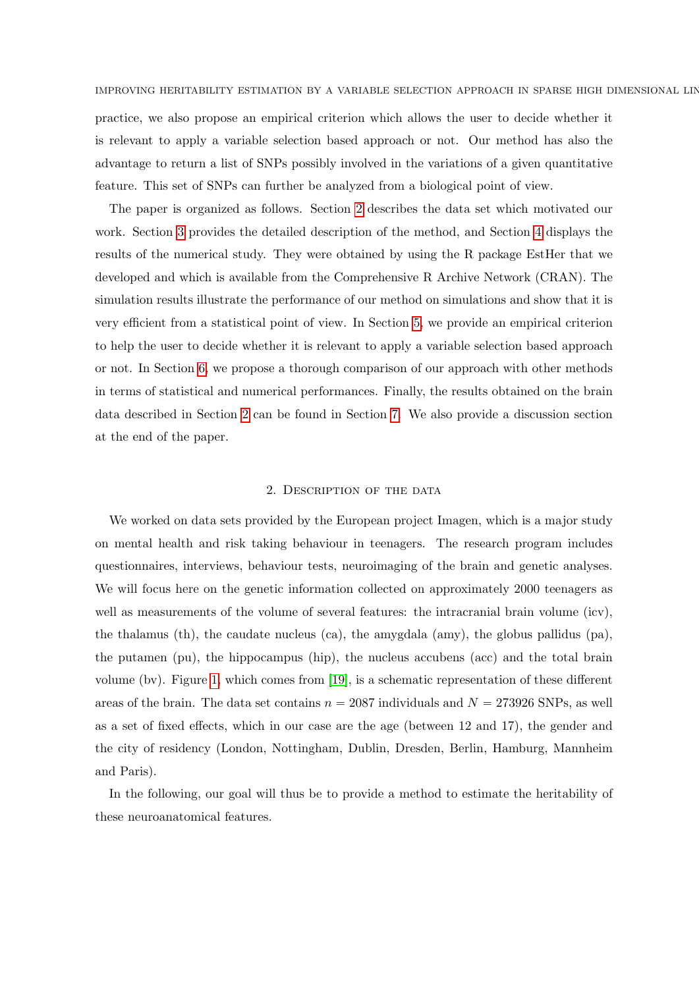practice, we also propose an empirical criterion which allows the user to decide whether it is relevant to apply a variable selection based approach or not. Our method has also the advantage to return a list of SNPs possibly involved in the variations of a given quantitative feature. This set of SNPs can further be analyzed from a biological point of view.

The paper is organized as follows. Section [2](#page-4-0) describes the data set which motivated our work. Section [3](#page-5-0) provides the detailed description of the method, and Section [4](#page-9-0) displays the results of the numerical study. They were obtained by using the R package EstHer that we developed and which is available from the Comprehensive R Archive Network (CRAN). The simulation results illustrate the performance of our method on simulations and show that it is very efficient from a statistical point of view. In Section [5,](#page-16-0) we provide an empirical criterion to help the user to decide whether it is relevant to apply a variable selection based approach or not. In Section [6,](#page-18-0) we propose a thorough comparison of our approach with other methods in terms of statistical and numerical performances. Finally, the results obtained on the brain data described in Section [2](#page-4-0) can be found in Section [7.](#page-20-0) We also provide a discussion section at the end of the paper.

### 2. Description of the data

<span id="page-4-0"></span>We worked on data sets provided by the European project Imagen, which is a major study on mental health and risk taking behaviour in teenagers. The research program includes questionnaires, interviews, behaviour tests, neuroimaging of the brain and genetic analyses. We will focus here on the genetic information collected on approximately 2000 teenagers as well as measurements of the volume of several features: the intracranial brain volume (icv), the thalamus (th), the caudate nucleus (ca), the amygdala (amy), the globus pallidus (pa), the putamen (pu), the hippocampus (hip), the nucleus accubens (acc) and the total brain volume (bv). Figure [1,](#page-5-1) which comes from [\[19\]](#page-26-1), is a schematic representation of these different areas of the brain. The data set contains  $n = 2087$  individuals and  $N = 273926$  SNPs, as well as a set of fixed effects, which in our case are the age (between 12 and 17), the gender and the city of residency (London, Nottingham, Dublin, Dresden, Berlin, Hamburg, Mannheim and Paris).

In the following, our goal will thus be to provide a method to estimate the heritability of these neuroanatomical features.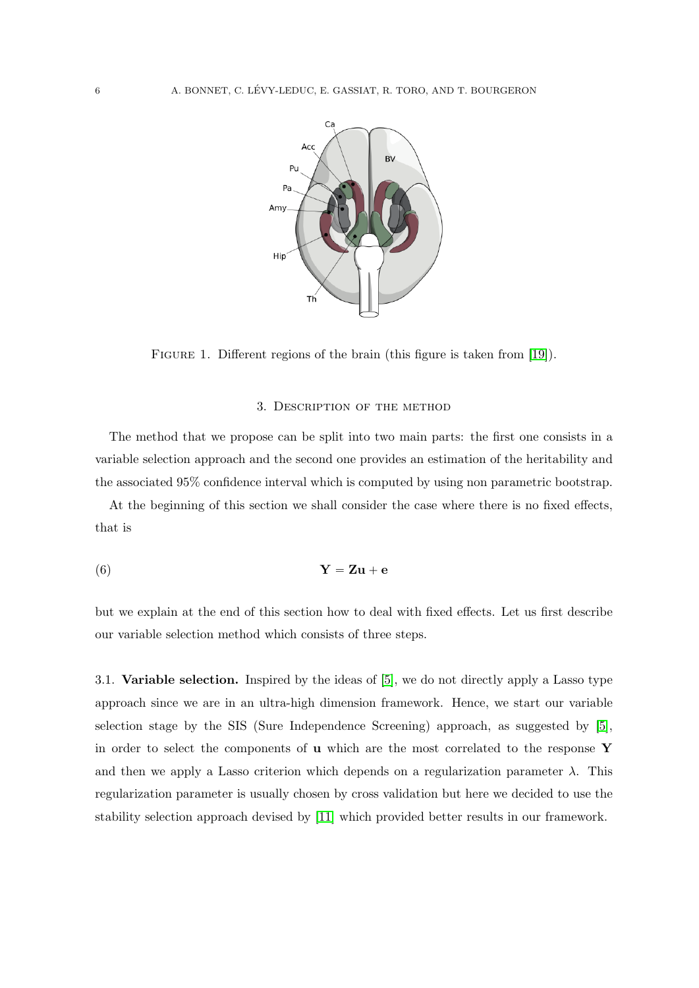<span id="page-5-1"></span>

FIGURE 1. Different regions of the brain (this figure is taken from [\[19\]](#page-26-1)).

# <span id="page-5-2"></span>3. Description of the method

<span id="page-5-0"></span>The method that we propose can be split into two main parts: the first one consists in a variable selection approach and the second one provides an estimation of the heritability and the associated 95% confidence interval which is computed by using non parametric bootstrap.

At the beginning of this section we shall consider the case where there is no fixed effects, that is

$$
Y = Zu + e
$$

but we explain at the end of this section how to deal with fixed effects. Let us first describe our variable selection method which consists of three steps.

<span id="page-5-3"></span>3.1. Variable selection. Inspired by the ideas of [\[5\]](#page-25-13), we do not directly apply a Lasso type approach since we are in an ultra-high dimension framework. Hence, we start our variable selection stage by the SIS (Sure Independence Screening) approach, as suggested by [\[5\]](#page-25-13), in order to select the components of  $\bf{u}$  which are the most correlated to the response  $\bf{Y}$ and then we apply a Lasso criterion which depends on a regularization parameter  $\lambda$ . This regularization parameter is usually chosen by cross validation but here we decided to use the stability selection approach devised by [\[11\]](#page-25-8) which provided better results in our framework.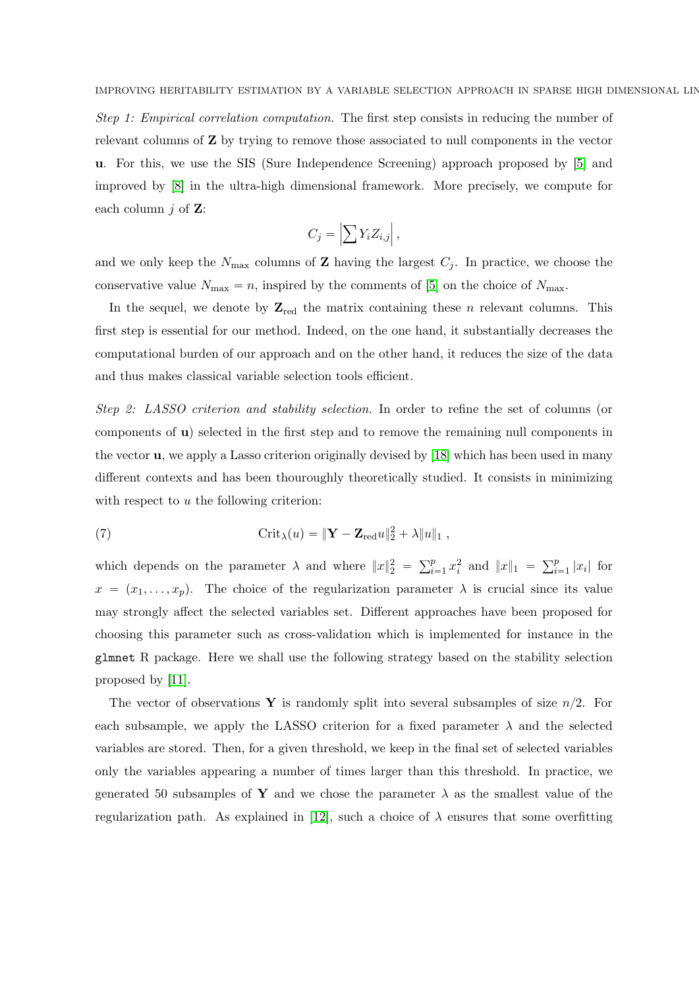Step 1: Empirical correlation computation. The first step consists in reducing the number of relevant columns of Z by trying to remove those associated to null components in the vector u. For this, we use the SIS (Sure Independence Screening) approach proposed by [\[5\]](#page-25-13) and improved by [\[8\]](#page-25-14) in the ultra-high dimensional framework. More precisely, we compute for each column  $j$  of  $\mathbf{Z}$ :

$$
C_j = \left| \sum Y_i Z_{i,j} \right|,
$$

and we only keep the  $N_{\text{max}}$  columns of **Z** having the largest  $C_j$ . In practice, we choose the conservative value  $N_{\text{max}} = n$ , inspired by the comments of [\[5\]](#page-25-13) on the choice of  $N_{\text{max}}$ .

In the sequel, we denote by  $\mathbb{Z}_{\text{red}}$  the matrix containing these *n* relevant columns. This first step is essential for our method. Indeed, on the one hand, it substantially decreases the computational burden of our approach and on the other hand, it reduces the size of the data and thus makes classical variable selection tools efficient.

Step 2: LASSO criterion and stability selection. In order to refine the set of columns (or components of u) selected in the first step and to remove the remaining null components in the vector u, we apply a Lasso criterion originally devised by [\[18\]](#page-26-5) which has been used in many different contexts and has been thouroughly theoretically studied. It consists in minimizing with respect to  $u$  the following criterion:

(7) 
$$
\operatorname{Crit}_{\lambda}(u) = \|\mathbf{Y} - \mathbf{Z}_{\text{red}}u\|_{2}^{2} + \lambda \|u\|_{1},
$$

which depends on the parameter  $\lambda$  and where  $||x||_2^2 =$  $\nabla^p$  $\sum_{i=1}^{p} x_i^2$  and  $||x||_1 = \sum_{i=1}^{p}$  $\sum_{i=1}^p |x_i|$  for  $x = (x_1, \ldots, x_p)$ . The choice of the regularization parameter  $\lambda$  is crucial since its value may strongly affect the selected variables set. Different approaches have been proposed for choosing this parameter such as cross-validation which is implemented for instance in the glmnet R package. Here we shall use the following strategy based on the stability selection proposed by [\[11\]](#page-25-8).

The vector of observations Y is randomly split into several subsamples of size  $n/2$ . For each subsample, we apply the LASSO criterion for a fixed parameter  $\lambda$  and the selected variables are stored. Then, for a given threshold, we keep in the final set of selected variables only the variables appearing a number of times larger than this threshold. In practice, we generated 50 subsamples of Y and we chose the parameter  $\lambda$  as the smallest value of the regularization path. As explained in [\[12\]](#page-25-15), such a choice of  $\lambda$  ensures that some overfitting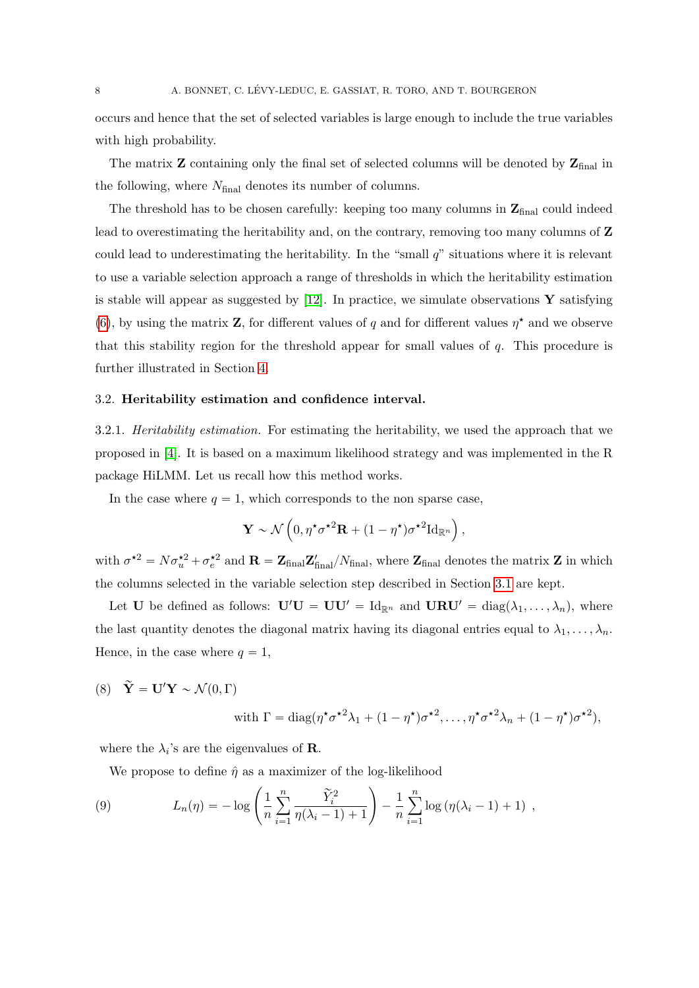occurs and hence that the set of selected variables is large enough to include the true variables with high probability.

The matrix  $\mathbf Z$  containing only the final set of selected columns will be denoted by  $\mathbf Z_{\text{final}}$  in the following, where  $N_{final}$  denotes its number of columns.

The threshold has to be chosen carefully: keeping too many columns in  $\mathbf{Z}_{\text{final}}$  could indeed lead to overestimating the heritability and, on the contrary, removing too many columns of Z could lead to underestimating the heritability. In the "small  $q$ " situations where it is relevant to use a variable selection approach a range of thresholds in which the heritability estimation is stable will appear as suggested by  $[12]$ . In practice, we simulate observations Y satisfying [\(6\)](#page-5-2), by using the matrix Z, for different values of q and for different values  $\eta^*$  and we observe that this stability region for the threshold appear for small values of  $q$ . This procedure is further illustrated in Section [4.](#page-9-0)

### 3.2. Heritability estimation and confidence interval.

<span id="page-7-1"></span>3.2.1. Heritability estimation. For estimating the heritability, we used the approach that we proposed in [\[4\]](#page-25-7). It is based on a maximum likelihood strategy and was implemented in the R package HiLMM. Let us recall how this method works.

In the case where  $q = 1$ , which corresponds to the non sparse case,

$$
\mathbf{Y} \sim \mathcal{N}\left(0, \eta^{\star}\sigma^{\star 2}\mathbf{R} + (1 - \eta^{\star})\sigma^{\star 2}\mathrm{Id}_{\mathbb{R}^n}\right),\,
$$

with  $\sigma^{*2} = N \sigma_u^{*2} + \sigma_e^{*2}$  and  $\mathbf{R} = \mathbf{Z}_{\text{final}} \mathbf{Z}_{\text{final}}' / N_{\text{final}}$ , where  $\mathbf{Z}_{\text{final}}$  denotes the matrix  $\mathbf{Z}$  in which the columns selected in the variable selection step described in Section [3.1](#page-5-3) are kept.

Let **U** be defined as follows:  $\mathbf{U}'\mathbf{U} = \mathbf{U}\mathbf{U}' = \text{Id}_{\mathbb{R}^n}$  and  $\mathbf{U}\mathbf{R}\mathbf{U}' = \text{diag}(\lambda_1, \ldots, \lambda_n)$ , where the last quantity denotes the diagonal matrix having its diagonal entries equal to  $\lambda_1, \ldots, \lambda_n$ . Hence, in the case where  $q = 1$ ,

<span id="page-7-0"></span>(8)  $\widetilde{\mathbf{Y}} = \mathbf{U}' \mathbf{Y} \sim \mathcal{N}(0, \Gamma)$ 

with 
$$
\Gamma = \text{diag}(\eta^{\star}\sigma^{\star 2}\lambda_1 + (1 - \eta^{\star})\sigma^{\star 2}, \dots, \eta^{\star}\sigma^{\star 2}\lambda_n + (1 - \eta^{\star})\sigma^{\star 2}),
$$

where the  $\lambda_i$ 's are the eigenvalues of **R**.

We propose to define  $\hat{\eta}$  as a maximizer of the log-likelihood  $\ddot{\phantom{0}}$ 

(9) 
$$
L_n(\eta) = -\log\left(\frac{1}{n}\sum_{i=1}^n \frac{\tilde{Y}_i^2}{\eta(\lambda_i - 1) + 1}\right) - \frac{1}{n}\sum_{i=1}^n \log(\eta(\lambda_i - 1) + 1) ,
$$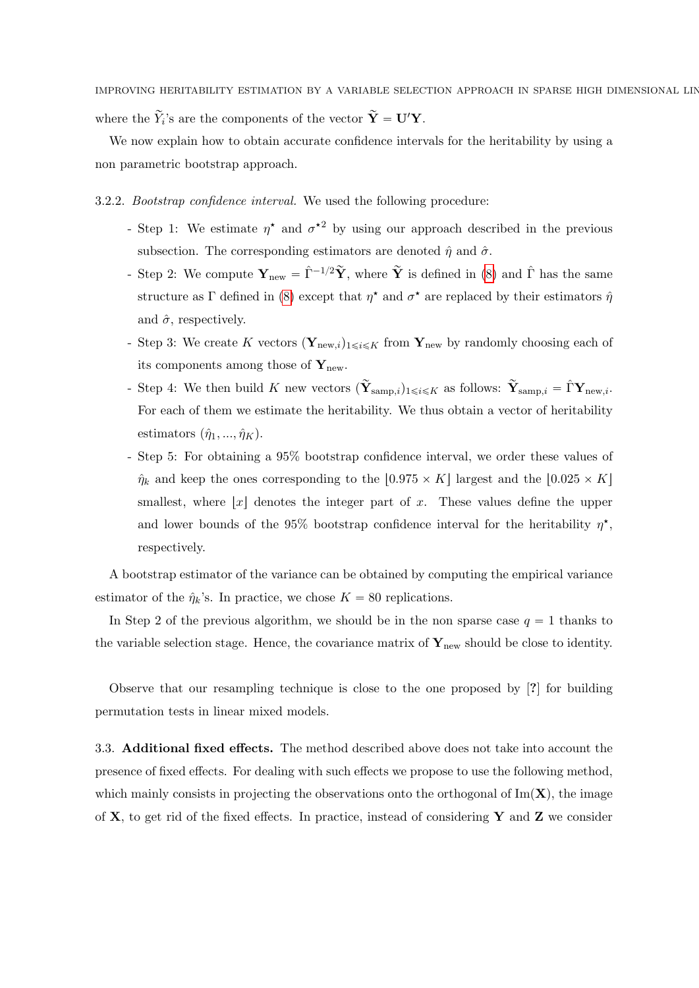IMPROVING HERITABILITY ESTIMATION BY A VARIABLE SELECTION APPROACH IN SPARSE HIGH DIMENSIONAL LIN where the  $\widetilde{Y}_i$ 's are the components of the vector  $\widetilde{\mathbf{Y}} = \mathbf{U}' \mathbf{Y}$ .

We now explain how to obtain accurate confidence intervals for the heritability by using a non parametric bootstrap approach.

3.2.2. Bootstrap confidence interval. We used the following procedure:

- Step 1: We estimate  $\eta^*$  and  $\sigma^{*2}$  by using our approach described in the previous subsection. The corresponding estimators are denoted  $\hat{\eta}$  and  $\hat{\sigma}$ .
- Step 2: We compute  $\mathbf{Y}_{\text{new}} = \hat{\Gamma}^{-1/2} \tilde{\mathbf{Y}}$ , where  $\tilde{\mathbf{Y}}$  is defined in [\(8\)](#page-7-0) and  $\hat{\Gamma}$  has the same structure as  $\Gamma$  defined in [\(8\)](#page-7-0) except that  $\eta^*$  and  $\sigma^*$  are replaced by their estimators  $\hat{\eta}$ and  $\hat{\sigma}$ , respectively.
- Step 3: We create K vectors  $(Y_{new,i})_{1\leq i\leq K}$  from  $Y_{new}$  by randomly choosing each of its components among those of  $\mathbf{Y}_{\text{new}}$ .
- Step 4: We then build K new vectors  $({\bf \tilde{Y}}_{\text{samp},i})_{1\leqslant i\leqslant K}$  as follows:  ${\bf \tilde{Y}}_{\text{samp},i} = \hat{\Gamma} {\bf Y}_{\text{new},i}$ . For each of them we estimate the heritability. We thus obtain a vector of heritability estimators  $(\hat{\eta}_1, ..., \hat{\eta}_K)$ .
- Step 5: For obtaining a 95% bootstrap confidence interval, we order these values of  $\hat{\eta}_k$  and keep the ones corresponding to the [0.975  $\times$  K] largest and the [0.025  $\times$  K] smallest, where  $|x|$  denotes the integer part of x. These values define the upper and lower bounds of the 95% bootstrap confidence interval for the heritability  $\eta^*$ , respectively.

A bootstrap estimator of the variance can be obtained by computing the empirical variance estimator of the  $\hat{\eta}_k$ 's. In practice, we chose  $K = 80$  replications.

In Step 2 of the previous algorithm, we should be in the non sparse case  $q = 1$  thanks to the variable selection stage. Hence, the covariance matrix of  $\mathbf{Y}_{\text{new}}$  should be close to identity.

Observe that our resampling technique is close to the one proposed by [?] for building permutation tests in linear mixed models.

3.3. Additional fixed effects. The method described above does not take into account the presence of fixed effects. For dealing with such effects we propose to use the following method, which mainly consists in projecting the observations onto the orthogonal of  $\text{Im}(\mathbf{X})$ , the image of **X**, to get rid of the fixed effects. In practice, instead of considering **Y** and **Z** we consider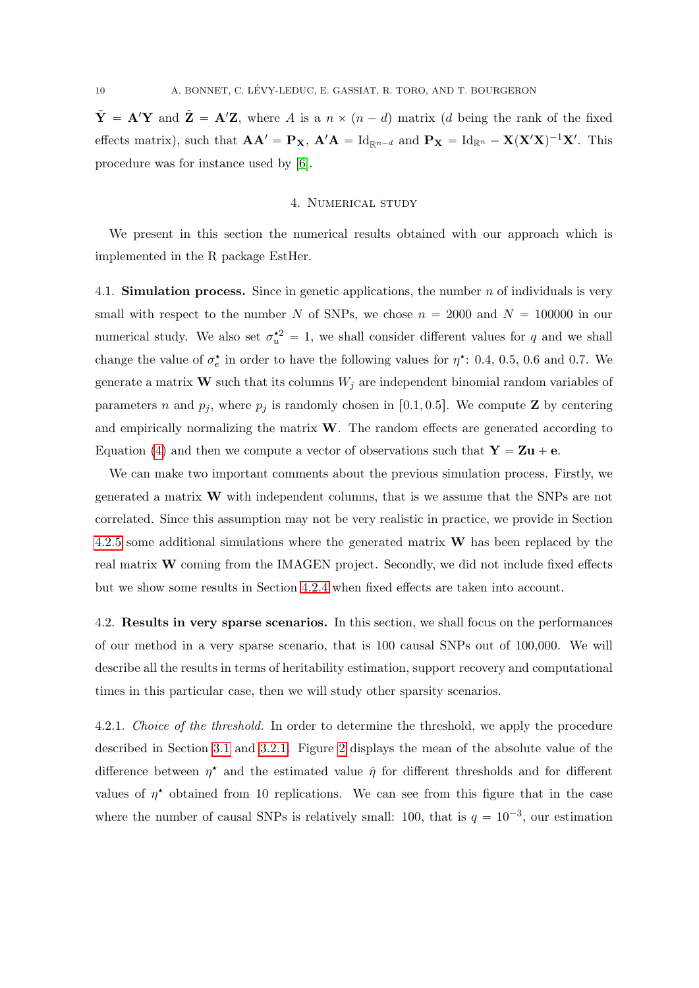$\tilde{\mathbf{Y}} = \mathbf{A}'\mathbf{Y}$  and  $\tilde{\mathbf{Z}} = \mathbf{A}'\mathbf{Z}$ , where A is a  $n \times (n - d)$  matrix (d being the rank of the fixed effects matrix), such that  $AA' = P_X$ ,  $A'A = Id_{\mathbb{R}^{n-d}}$  and  $P_X = Id_{\mathbb{R}^n} - X(X'X)^{-1}X'$ . This procedure was for instance used by [\[6\]](#page-25-10).

### 4. Numerical study

<span id="page-9-0"></span>We present in this section the numerical results obtained with our approach which is implemented in the R package EstHer.

<span id="page-9-1"></span>4.1. **Simulation process.** Since in genetic applications, the number n of individuals is very small with respect to the number N of SNPs, we chose  $n = 2000$  and  $N = 100000$  in our numerical study. We also set  $\sigma_u^2 = 1$ , we shall consider different values for q and we shall change the value of  $\sigma_e^{\star}$  in order to have the following values for  $\eta^{\star}$ : 0.4, 0.5, 0.6 and 0.7. We generate a matrix **W** such that its columns  $W_j$  are independent binomial random variables of parameters n and  $p_i$ , where  $p_i$  is randomly chosen in [0.1, 0.5]. We compute **Z** by centering and empirically normalizing the matrix  $W$ . The random effects are generated according to Equation [\(4\)](#page-2-0) and then we compute a vector of observations such that  $Y = Zu + e$ .

We can make two important comments about the previous simulation process. Firstly, we generated a matrix W with independent columns, that is we assume that the SNPs are not correlated. Since this assumption may not be very realistic in practice, we provide in Section [4.2.5](#page-11-0) some additional simulations where the generated matrix  $W$  has been replaced by the real matrix W coming from the IMAGEN project. Secondly, we did not include fixed effects but we show some results in Section [4.2.4](#page-11-1) when fixed effects are taken into account.

<span id="page-9-2"></span>4.2. Results in very sparse scenarios. In this section, we shall focus on the performances of our method in a very sparse scenario, that is 100 causal SNPs out of 100,000. We will describe all the results in terms of heritability estimation, support recovery and computational times in this particular case, then we will study other sparsity scenarios.

<span id="page-9-3"></span>4.2.1. Choice of the threshold. In order to determine the threshold, we apply the procedure described in Section [3.1](#page-5-3) and [3.2.1.](#page-7-1) Figure [2](#page-10-0) displays the mean of the absolute value of the difference between  $\eta^*$  and the estimated value  $\hat{\eta}$  for different thresholds and for different values of  $\eta^*$  obtained from 10 replications. We can see from this figure that in the case where the number of causal SNPs is relatively small: 100, that is  $q = 10^{-3}$ , our estimation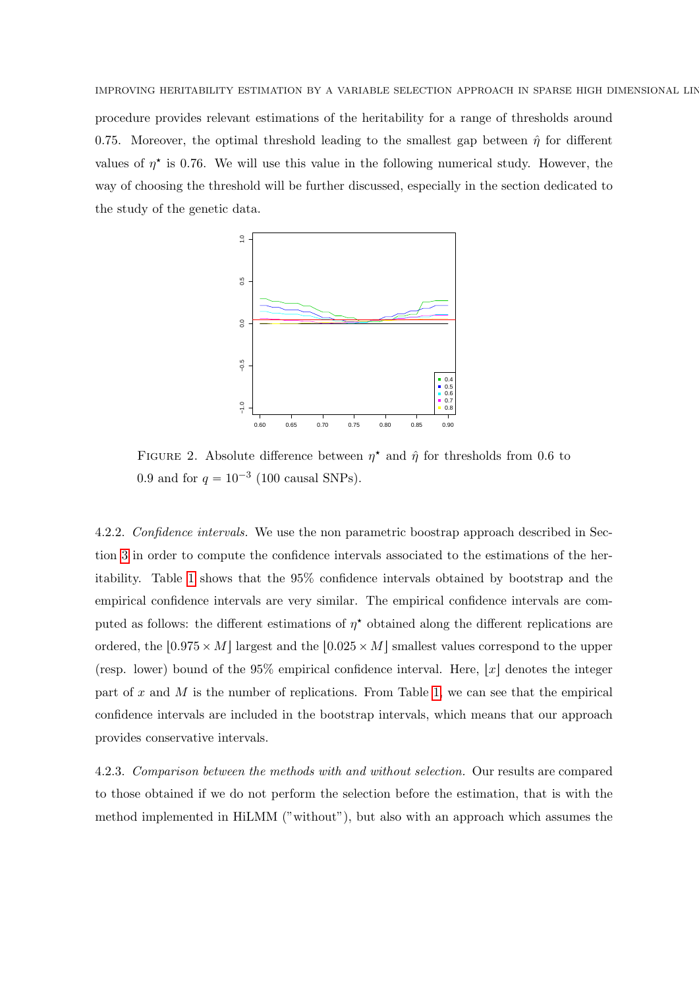IMPROVING HERITABILITY ESTIMATION BY A VARIABLE SELECTION APPROACH IN SPARSE HIGH DIMENSIONAL LIN procedure provides relevant estimations of the heritability for a range of thresholds around 0.75. Moreover, the optimal threshold leading to the smallest gap between  $\hat{\eta}$  for different values of  $\eta^*$  is 0.76. We will use this value in the following numerical study. However, the way of choosing the threshold will be further discussed, especially in the section dedicated to the study of the genetic data.

<span id="page-10-0"></span>

FIGURE 2. Absolute difference between  $\eta^*$  and  $\hat{\eta}$  for thresholds from 0.6 to 0.9 and for  $q = 10^{-3}$  (100 causal SNPs).

4.2.2. Confidence intervals. We use the non parametric boostrap approach described in Section [3](#page-5-0) in order to compute the confidence intervals associated to the estimations of the heritability. Table [1](#page-11-2) shows that the 95% confidence intervals obtained by bootstrap and the empirical confidence intervals are very similar. The empirical confidence intervals are computed as follows: the different estimations of  $\eta^*$  obtained along the different replications are ordered, the  $\lfloor 0.975 \times M \rfloor$  largest and the  $\lfloor 0.025 \times M \rfloor$  smallest values correspond to the upper (resp. lower) bound of the  $95\%$  empirical confidence interval. Here,  $|x|$  denotes the integer part of x and M is the number of replications. From Table [1,](#page-11-2) we can see that the empirical confidence intervals are included in the bootstrap intervals, which means that our approach provides conservative intervals.

4.2.3. Comparison between the methods with and without selection. Our results are compared to those obtained if we do not perform the selection before the estimation, that is with the method implemented in HiLMM ("without"), but also with an approach which assumes the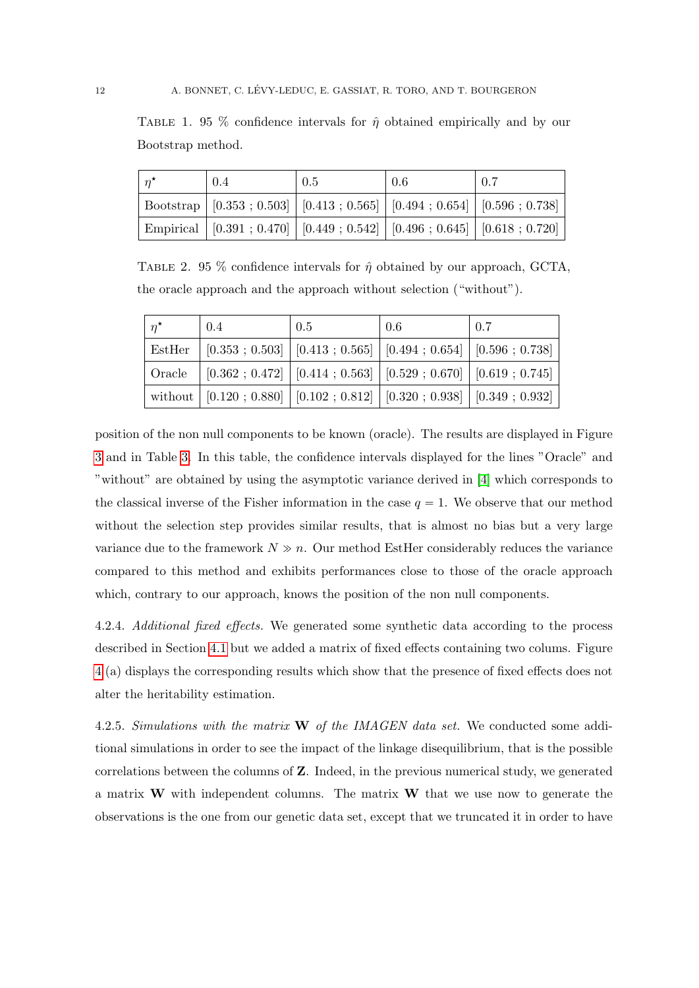<span id="page-11-2"></span>TABLE 1. 95 % confidence intervals for  $\hat{\eta}$  obtained empirically and by our Bootstrap method.

| $n^{\star}$ | 0.4                                                                                   | 0.5 | 0.6 | 0.7 |
|-------------|---------------------------------------------------------------------------------------|-----|-----|-----|
|             | Bootstrap   $[0.353; 0.503]$   $[0.413; 0.565]$   $[0.494; 0.654]$   $[0.596; 0.738]$ |     |     |     |
|             | Empirical   $[0.391; 0.470]$   $[0.449; 0.542]$   $[0.496; 0.645]$   $[0.618; 0.720]$ |     |     |     |

TABLE 2. 95 % confidence intervals for  $\hat{\eta}$  obtained by our approach, GCTA, the oracle approach and the approach without selection ("without").

| $n^{\star}$ | 0.4 | 0.5                                                                                                                    | 0.6 | 0.7 |
|-------------|-----|------------------------------------------------------------------------------------------------------------------------|-----|-----|
| EstHer      |     | $[0.353; 0.503]$ $[0.413; 0.565]$ $[0.494; 0.654]$ $[0.596; 0.738]$                                                    |     |     |
| Oracle      |     | $[0.362; 0.472]$ $[0.414; 0.563]$ $[0.529; 0.670]$ $[0.619; 0.745]$                                                    |     |     |
|             |     | without $(0.120 \; ; \; 0.880 \;   \; [0.102 \; ; \; 0.812 \;   \; [0.320 \; ; \; 0.938 \;   \; [0.349 \; ; \; 0.932]$ |     |     |

position of the non null components to be known (oracle). The results are displayed in Figure [3](#page-12-0) and in Table [3.](#page-18-1) In this table, the confidence intervals displayed for the lines "Oracle" and "without" are obtained by using the asymptotic variance derived in [\[4\]](#page-25-7) which corresponds to the classical inverse of the Fisher information in the case  $q = 1$ . We observe that our method without the selection step provides similar results, that is almost no bias but a very large variance due to the framework  $N \gg n$ . Our method EstHer considerably reduces the variance compared to this method and exhibits performances close to those of the oracle approach which, contrary to our approach, knows the position of the non null components.

<span id="page-11-1"></span>4.2.4. Additional fixed effects. We generated some synthetic data according to the process described in Section [4.1](#page-9-1) but we added a matrix of fixed effects containing two colums. Figure [4](#page-13-0) (a) displays the corresponding results which show that the presence of fixed effects does not alter the heritability estimation.

<span id="page-11-0"></span>4.2.5. Simulations with the matrix  $\bf{W}$  of the IMAGEN data set. We conducted some additional simulations in order to see the impact of the linkage disequilibrium, that is the possible correlations between the columns of Z. Indeed, in the previous numerical study, we generated a matrix  $W$  with independent columns. The matrix  $W$  that we use now to generate the observations is the one from our genetic data set, except that we truncated it in order to have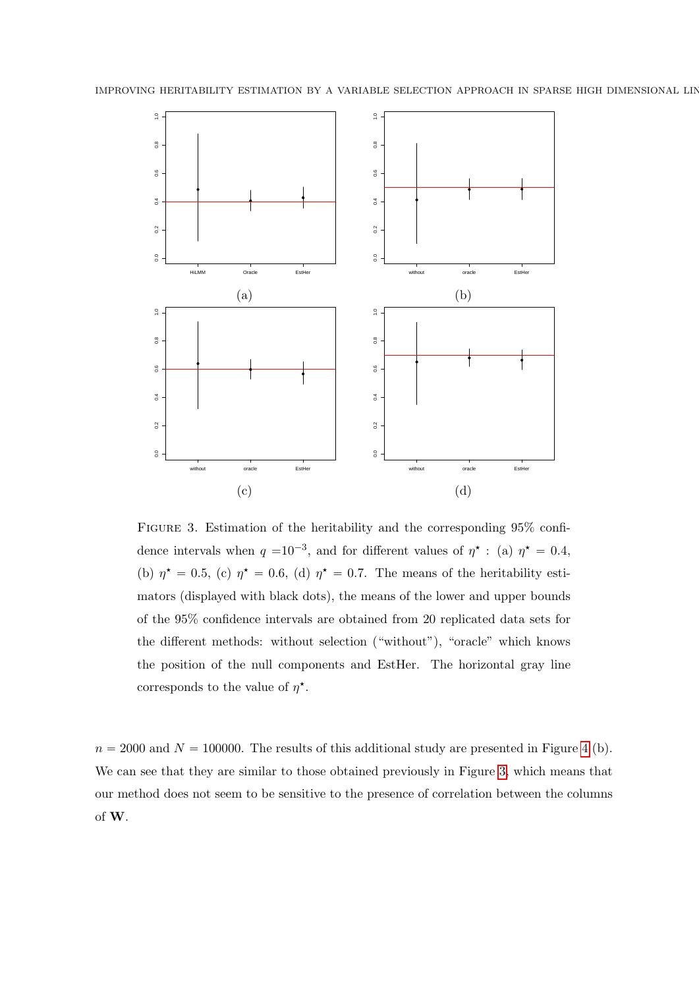<span id="page-12-0"></span>

Figure 3. Estimation of the heritability and the corresponding 95% confidence intervals when  $q = 10^{-3}$ , and for different values of  $\eta^*$ : (a)  $\eta^* = 0.4$ , (b)  $\eta^* = 0.5$ , (c)  $\eta^* = 0.6$ , (d)  $\eta^* = 0.7$ . The means of the heritability estimators (displayed with black dots), the means of the lower and upper bounds of the 95% confidence intervals are obtained from 20 replicated data sets for the different methods: without selection ("without"), "oracle" which knows the position of the null components and EstHer. The horizontal gray line corresponds to the value of  $\eta^*$ .

 $n = 2000$  and  $N = 100000$ . The results of this additional study are presented in Figure [4](#page-13-0) (b). We can see that they are similar to those obtained previously in Figure [3,](#page-12-0) which means that our method does not seem to be sensitive to the presence of correlation between the columns of W.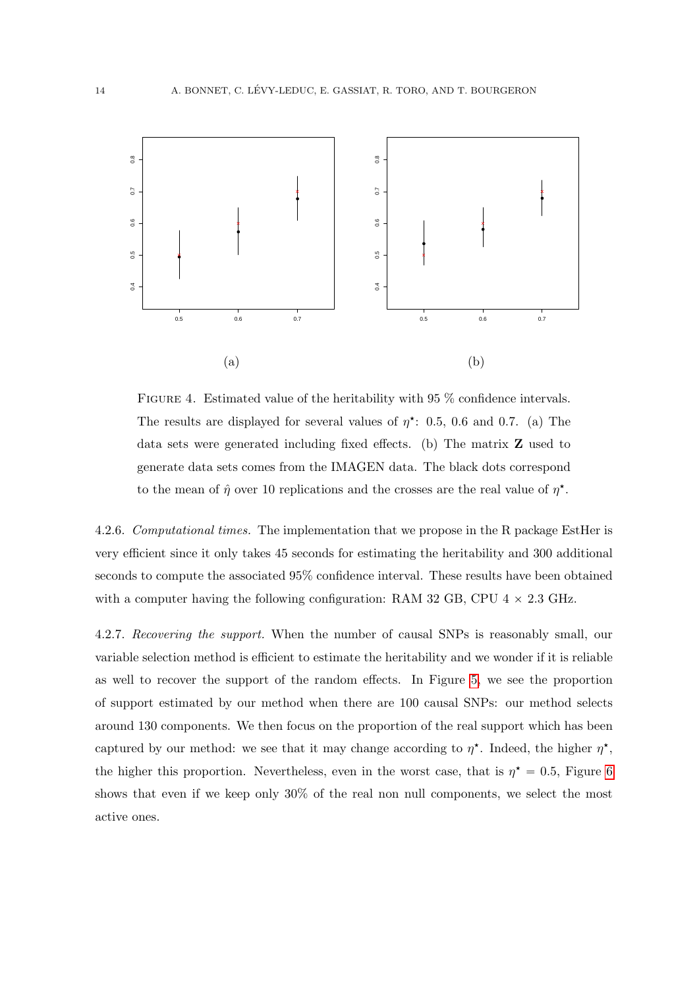<span id="page-13-0"></span>

FIGURE 4. Estimated value of the heritability with 95 % confidence intervals. The results are displayed for several values of  $\eta^*$ : 0.5, 0.6 and 0.7. (a) The data sets were generated including fixed effects. (b) The matrix Z used to generate data sets comes from the IMAGEN data. The black dots correspond to the mean of  $\hat{\eta}$  over 10 replications and the crosses are the real value of  $\eta^*$ .

4.2.6. Computational times. The implementation that we propose in the R package EstHer is very efficient since it only takes 45 seconds for estimating the heritability and 300 additional seconds to compute the associated 95% confidence interval. These results have been obtained with a computer having the following configuration: RAM 32 GB, CPU  $4 \times 2.3$  GHz.

4.2.7. Recovering the support. When the number of causal SNPs is reasonably small, our variable selection method is efficient to estimate the heritability and we wonder if it is reliable as well to recover the support of the random effects. In Figure [5,](#page-14-0) we see the proportion of support estimated by our method when there are 100 causal SNPs: our method selects around 130 components. We then focus on the proportion of the real support which has been captured by our method: we see that it may change according to  $\eta^*$ . Indeed, the higher  $\eta^*$ , the higher this proportion. Nevertheless, even in the worst case, that is  $\eta^* = 0.5$ , Figure [6](#page-15-0) shows that even if we keep only 30% of the real non null components, we select the most active ones.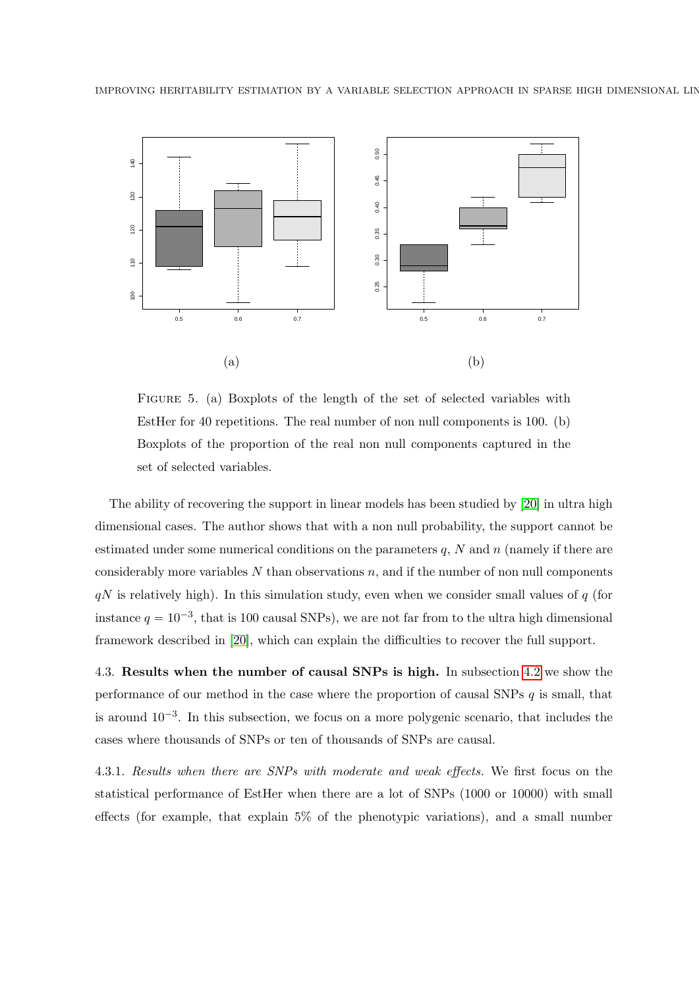<span id="page-14-0"></span>

Figure 5. (a) Boxplots of the length of the set of selected variables with EstHer for 40 repetitions. The real number of non null components is 100. (b) Boxplots of the proportion of the real non null components captured in the set of selected variables.

The ability of recovering the support in linear models has been studied by [\[20\]](#page-26-4) in ultra high dimensional cases. The author shows that with a non null probability, the support cannot be estimated under some numerical conditions on the parameters  $q$ ,  $N$  and  $n$  (namely if there are considerably more variables  $N$  than observations  $n$ , and if the number of non null components  $qN$  is relatively high). In this simulation study, even when we consider small values of  $q$  (for instance  $q = 10^{-3}$ , that is 100 causal SNPs), we are not far from to the ultra high dimensional framework described in [\[20\]](#page-26-4), which can explain the difficulties to recover the full support.

4.3. Results when the number of causal SNPs is high. In subsection [4.2](#page-9-2) we show the performance of our method in the case where the proportion of causal SNPs  $q$  is small, that is around  $10^{-3}$ . In this subsection, we focus on a more polygenic scenario, that includes the cases where thousands of SNPs or ten of thousands of SNPs are causal.

4.3.1. Results when there are SNPs with moderate and weak effects. We first focus on the statistical performance of EstHer when there are a lot of SNPs (1000 or 10000) with small effects (for example, that explain 5% of the phenotypic variations), and a small number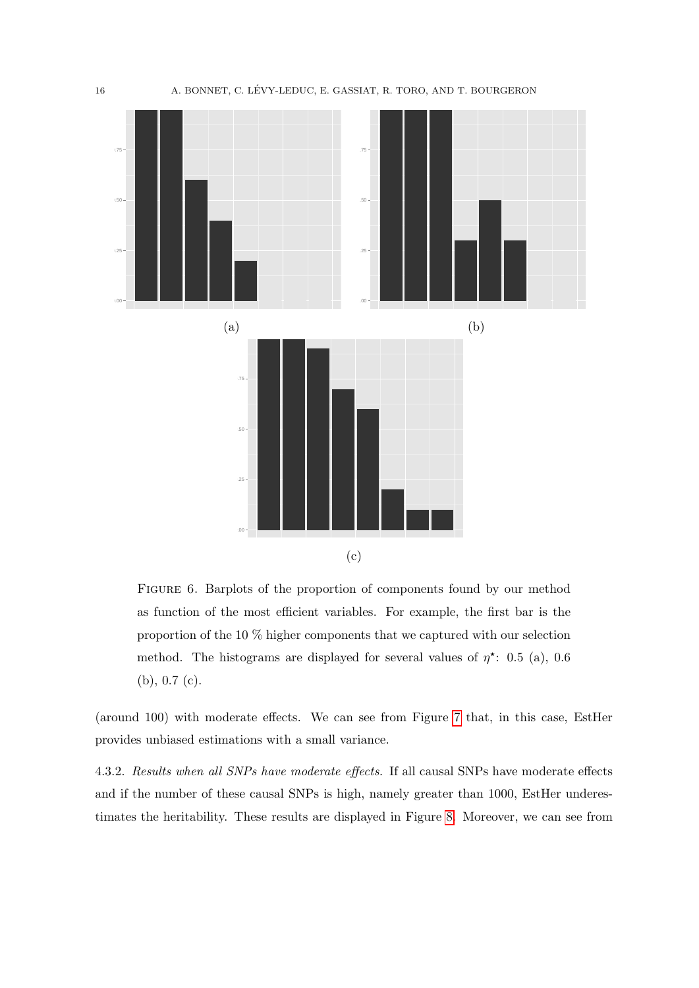<span id="page-15-0"></span>

FIGURE 6. Barplots of the proportion of components found by our method as function of the most efficient variables. For example, the first bar is the proportion of the 10 % higher components that we captured with our selection method. The histograms are displayed for several values of  $\eta^*$ : 0.5 (a), 0.6 (b), 0.7 (c).

(around 100) with moderate effects. We can see from Figure [7](#page-16-1) that, in this case, EstHer provides unbiased estimations with a small variance.

4.3.2. Results when all SNPs have moderate effects. If all causal SNPs have moderate effects and if the number of these causal SNPs is high, namely greater than 1000, EstHer underestimates the heritability. These results are displayed in Figure [8.](#page-17-0) Moreover, we can see from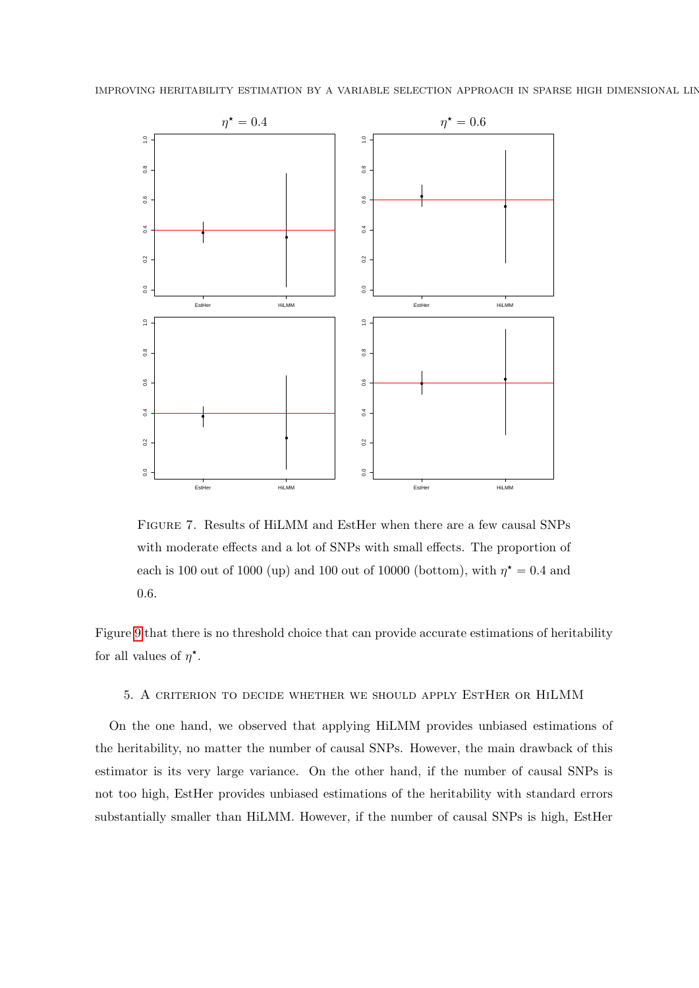<span id="page-16-1"></span>



Figure 7. Results of HiLMM and EstHer when there are a few causal SNPs with moderate effects and a lot of SNPs with small effects. The proportion of each is 100 out of 1000 (up) and 100 out of 10000 (bottom), with  $\eta^* = 0.4$  and 0.6.

Figure [9](#page-18-2) that there is no threshold choice that can provide accurate estimations of heritability for all values of  $\eta^*$ .

### <span id="page-16-0"></span>5. A criterion to decide whether we should apply EstHer or HiLMM

On the one hand, we observed that applying HiLMM provides unbiased estimations of the heritability, no matter the number of causal SNPs. However, the main drawback of this estimator is its very large variance. On the other hand, if the number of causal SNPs is not too high, EstHer provides unbiased estimations of the heritability with standard errors substantially smaller than HiLMM. However, if the number of causal SNPs is high, EstHer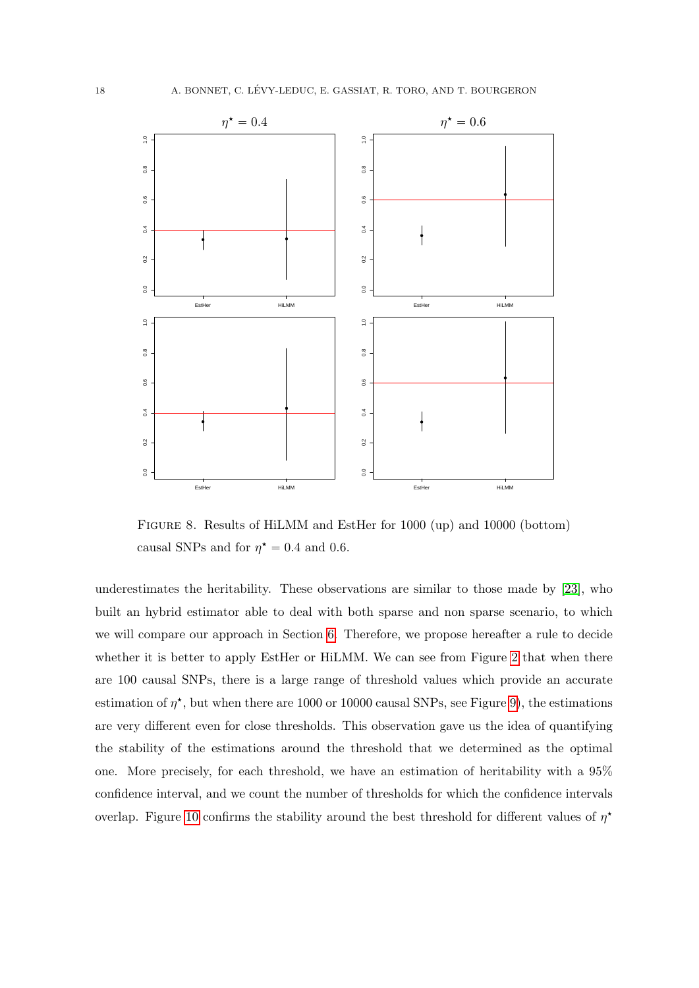<span id="page-17-0"></span>

Figure 8. Results of HiLMM and EstHer for 1000 (up) and 10000 (bottom) causal SNPs and for  $\eta^* = 0.4$  and 0.6.

underestimates the heritability. These observations are similar to those made by [\[23\]](#page-27-0), who built an hybrid estimator able to deal with both sparse and non sparse scenario, to which we will compare our approach in Section [6.](#page-18-0) Therefore, we propose hereafter a rule to decide whether it is better to apply EstHer or HiLMM. We can see from Figure [2](#page-10-0) that when there are 100 causal SNPs, there is a large range of threshold values which provide an accurate estimation of  $\eta^*$ , but when there are 1000 or 10000 causal SNPs, see Figure [9\)](#page-18-2), the estimations are very different even for close thresholds. This observation gave us the idea of quantifying the stability of the estimations around the threshold that we determined as the optimal one. More precisely, for each threshold, we have an estimation of heritability with a 95% confidence interval, and we count the number of thresholds for which the confidence intervals overlap. Figure [10](#page-19-0) confirms the stability around the best threshold for different values of  $\eta^*$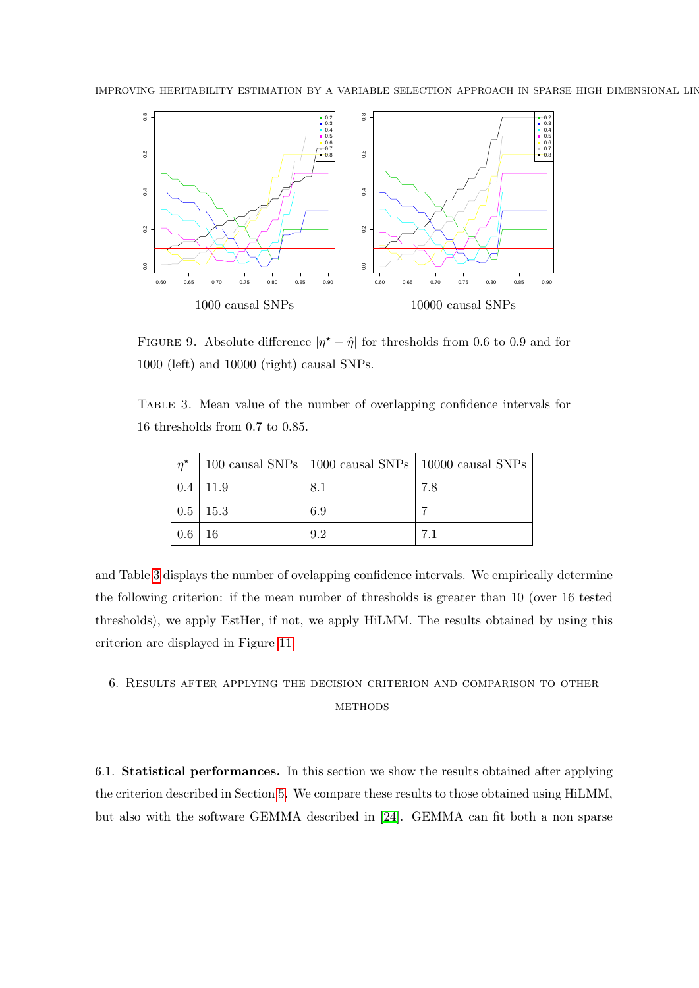<span id="page-18-2"></span>

FIGURE 9. Absolute difference  $|\eta^* - \hat{\eta}|$  for thresholds from 0.6 to 0.9 and for 1000 (left) and 10000 (right) causal SNPs.

<span id="page-18-1"></span>Table 3. Mean value of the number of overlapping confidence intervals for 16 thresholds from 0.7 to 0.85.

| $n^{\star}$ |                      |     | 100 causal SNPs   1000 causal SNPs   10000 causal SNPs |
|-------------|----------------------|-----|--------------------------------------------------------|
| 0.4         | $\vert$ 11.9         | 8.1 | 7.8                                                    |
|             | $\mid 0.5 \mid 15.3$ | 6.9 |                                                        |
| $\mid 0.6$  | -16                  | 9.2 |                                                        |

and Table [3](#page-18-1) displays the number of ovelapping confidence intervals. We empirically determine the following criterion: if the mean number of thresholds is greater than 10 (over 16 tested thresholds), we apply EstHer, if not, we apply HiLMM. The results obtained by using this criterion are displayed in Figure [11.](#page-21-0)

# <span id="page-18-0"></span>6. Results after applying the decision criterion and comparison to other **METHODS**

6.1. Statistical performances. In this section we show the results obtained after applying the criterion described in Section [5.](#page-16-0) We compare these results to those obtained using HiLMM, but also with the software GEMMA described in [\[24\]](#page-27-1). GEMMA can fit both a non sparse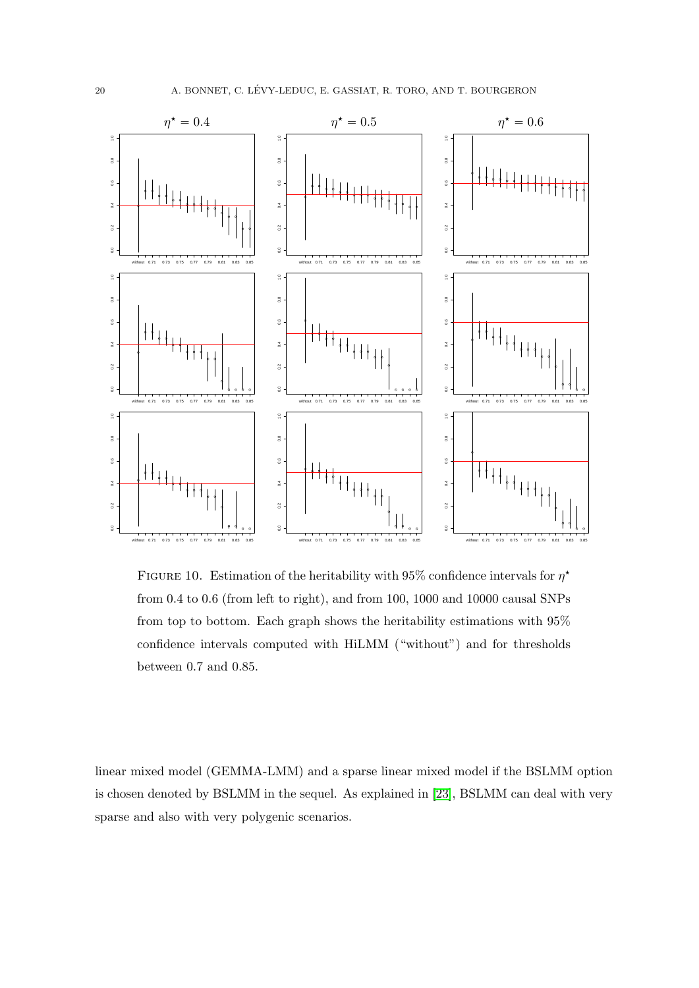<span id="page-19-0"></span>

FIGURE 10. Estimation of the heritability with 95% confidence intervals for  $\eta^*$ from 0.4 to 0.6 (from left to right), and from 100, 1000 and 10000 causal SNPs from top to bottom. Each graph shows the heritability estimations with 95% confidence intervals computed with HiLMM ("without") and for thresholds between 0.7 and 0.85.

linear mixed model (GEMMA-LMM) and a sparse linear mixed model if the BSLMM option is chosen denoted by BSLMM in the sequel. As explained in [\[23\]](#page-27-0), BSLMM can deal with very sparse and also with very polygenic scenarios.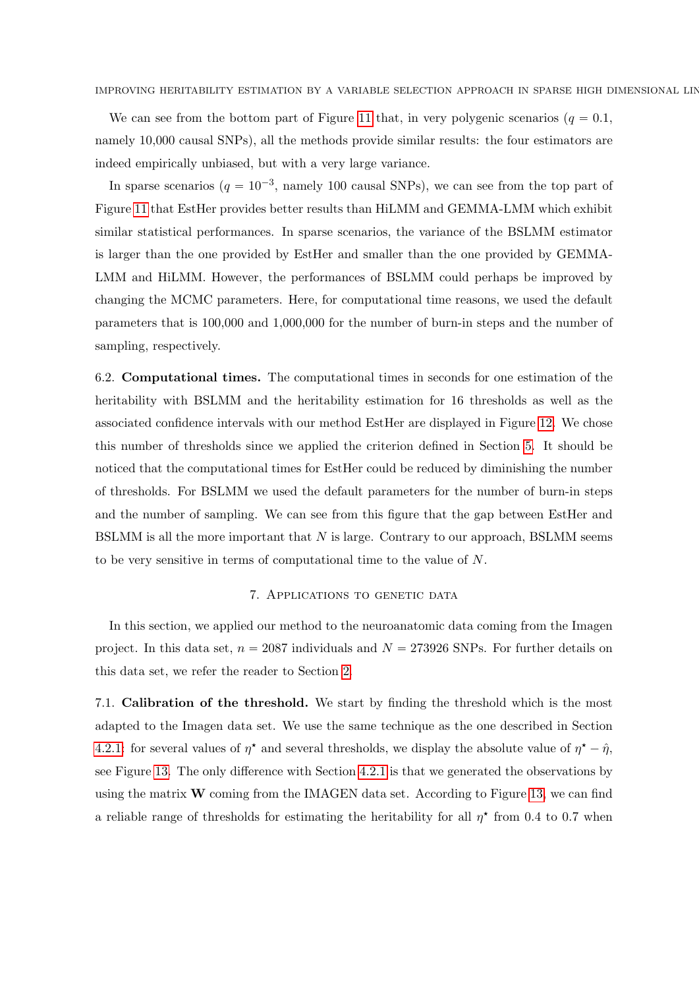We can see from the bottom part of Figure [11](#page-21-0) that, in very polygenic scenarios ( $q = 0.1$ , namely 10,000 causal SNPs), all the methods provide similar results: the four estimators are indeed empirically unbiased, but with a very large variance.

In sparse scenarios  $(q = 10^{-3}, \text{ namely } 100 \text{ causal SNPs})$ , we can see from the top part of Figure [11](#page-21-0) that EstHer provides better results than HiLMM and GEMMA-LMM which exhibit similar statistical performances. In sparse scenarios, the variance of the BSLMM estimator is larger than the one provided by EstHer and smaller than the one provided by GEMMA-LMM and HiLMM. However, the performances of BSLMM could perhaps be improved by changing the MCMC parameters. Here, for computational time reasons, we used the default parameters that is 100,000 and 1,000,000 for the number of burn-in steps and the number of sampling, respectively.

6.2. Computational times. The computational times in seconds for one estimation of the heritability with BSLMM and the heritability estimation for 16 thresholds as well as the associated confidence intervals with our method EstHer are displayed in Figure [12.](#page-22-0) We chose this number of thresholds since we applied the criterion defined in Section [5.](#page-16-0) It should be noticed that the computational times for EstHer could be reduced by diminishing the number of thresholds. For BSLMM we used the default parameters for the number of burn-in steps and the number of sampling. We can see from this figure that the gap between EstHer and BSLMM is all the more important that  $N$  is large. Contrary to our approach, BSLMM seems to be very sensitive in terms of computational time to the value of N.

# 7. Applications to genetic data

<span id="page-20-0"></span>In this section, we applied our method to the neuroanatomic data coming from the Imagen project. In this data set,  $n = 2087$  individuals and  $N = 273926$  SNPs. For further details on this data set, we refer the reader to Section [2.](#page-4-0)

7.1. Calibration of the threshold. We start by finding the threshold which is the most adapted to the Imagen data set. We use the same technique as the one described in Section [4.2.1:](#page-9-3) for several values of  $\eta^*$  and several thresholds, we display the absolute value of  $\eta^* - \hat{\eta}$ , see Figure [13.](#page-22-1) The only difference with Section [4.2.1](#page-9-3) is that we generated the observations by using the matrix  $\bf{W}$  coming from the IMAGEN data set. According to Figure [13,](#page-22-1) we can find a reliable range of thresholds for estimating the heritability for all  $\eta^*$  from 0.4 to 0.7 when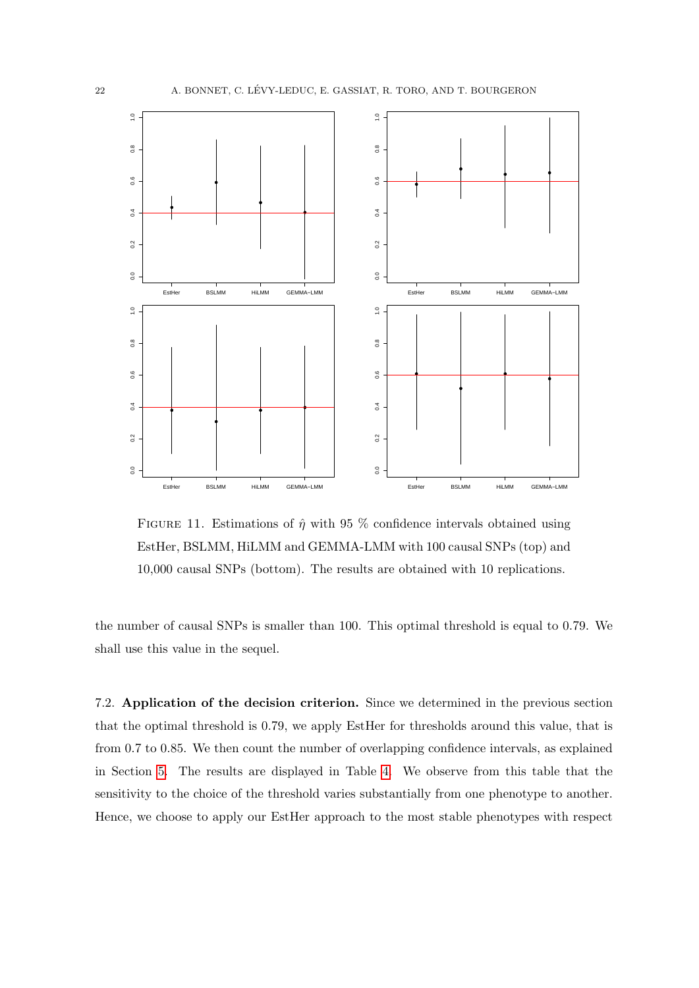<span id="page-21-0"></span>

FIGURE 11. Estimations of  $\hat{\eta}$  with 95 % confidence intervals obtained using EstHer, BSLMM, HiLMM and GEMMA-LMM with 100 causal SNPs (top) and 10,000 causal SNPs (bottom). The results are obtained with 10 replications.

the number of causal SNPs is smaller than 100. This optimal threshold is equal to 0.79. We shall use this value in the sequel.

7.2. Application of the decision criterion. Since we determined in the previous section that the optimal threshold is 0.79, we apply EstHer for thresholds around this value, that is from 0.7 to 0.85. We then count the number of overlapping confidence intervals, as explained in Section [5.](#page-16-0) The results are displayed in Table [4.](#page-23-0) We observe from this table that the sensitivity to the choice of the threshold varies substantially from one phenotype to another. Hence, we choose to apply our EstHer approach to the most stable phenotypes with respect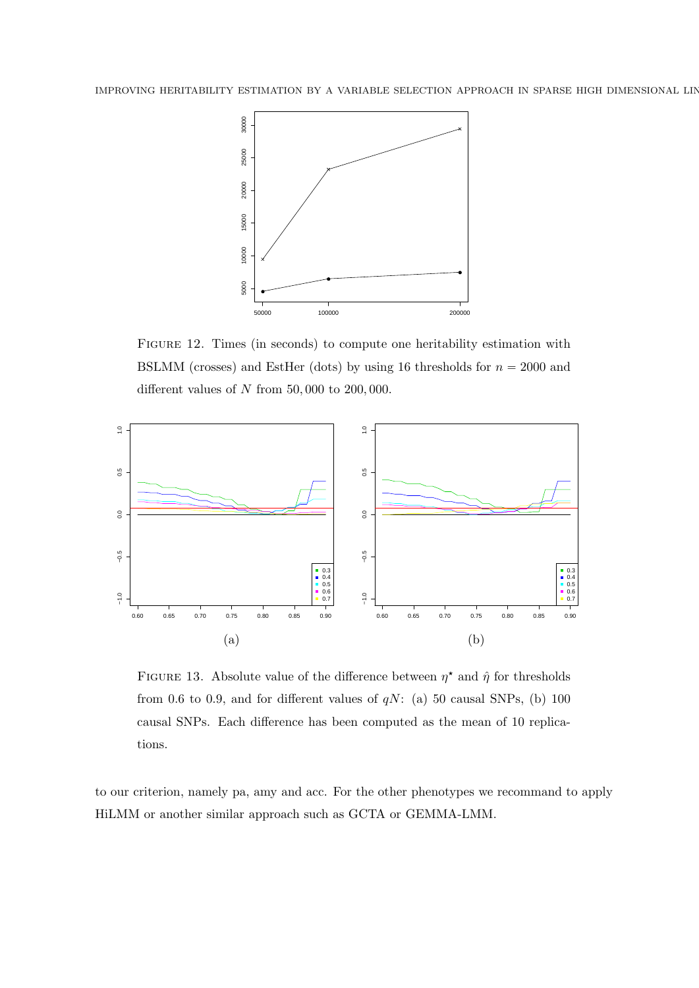<span id="page-22-0"></span>

Figure 12. Times (in seconds) to compute one heritability estimation with BSLMM (crosses) and EstHer (dots) by using 16 thresholds for  $n = 2000$  and different values of  $N$  from 50,000 to 200,000.

<span id="page-22-1"></span>

FIGURE 13. Absolute value of the difference between  $\eta^*$  and  $\hat{\eta}$  for thresholds from 0.6 to 0.9, and for different values of  $qN$ : (a) 50 causal SNPs, (b) 100 causal SNPs. Each difference has been computed as the mean of 10 replications.

to our criterion, namely pa, amy and acc. For the other phenotypes we recommand to apply HiLMM or another similar approach such as GCTA or GEMMA-LMM.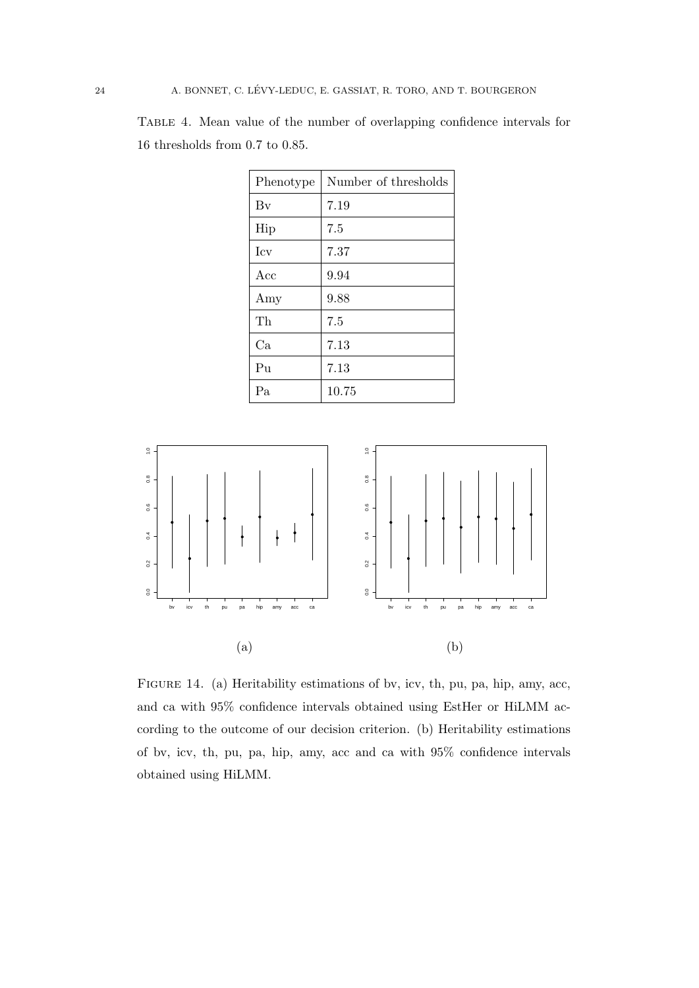Table 4. Mean value of the number of overlapping confidence intervals for 16 thresholds from 0.7 to 0.85.

| Phenotype   | Number of thresholds |  |  |
|-------------|----------------------|--|--|
| Bv          | 7.19                 |  |  |
| Hip         | 7.5                  |  |  |
| <b>I</b> cv | 7.37                 |  |  |
| Acc         | 9.94                 |  |  |
| Amy         | 9.88                 |  |  |
| Th          | 7.5                  |  |  |
| Ca          | 7.13                 |  |  |
| Pu          | 7.13                 |  |  |
| Pa          | 10.75                |  |  |

<span id="page-23-1"></span>

Figure 14. (a) Heritability estimations of bv, icv, th, pu, pa, hip, amy, acc, and ca with 95% confidence intervals obtained using EstHer or HiLMM according to the outcome of our decision criterion. (b) Heritability estimations of bv, icv, th, pu, pa, hip, amy, acc and ca with 95% confidence intervals obtained using HiLMM.

<span id="page-23-0"></span>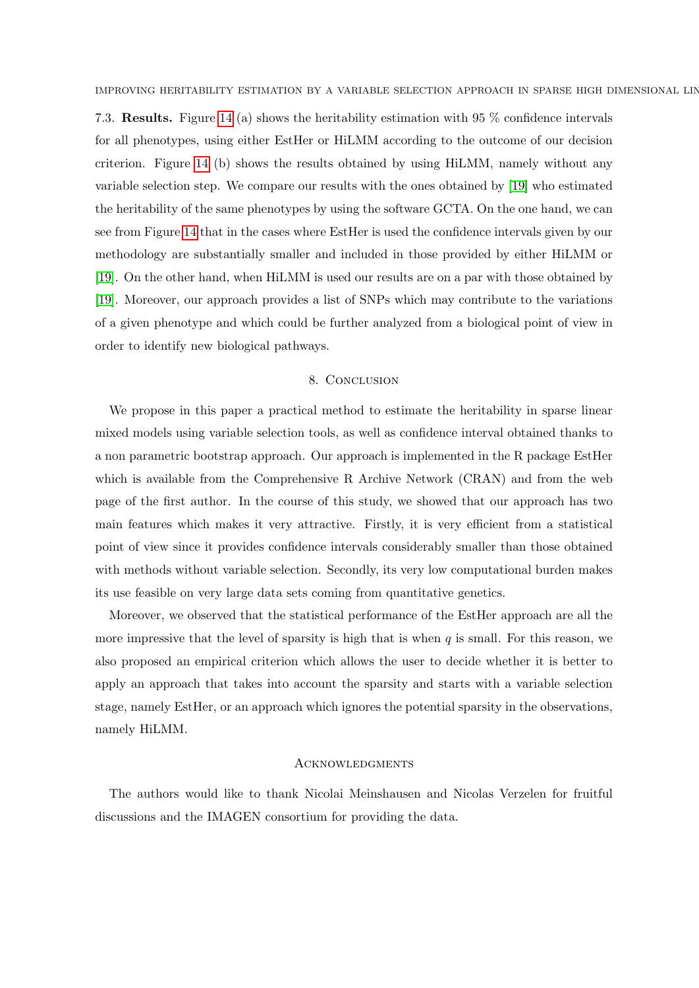7.3. Results. Figure [14](#page-23-1) (a) shows the heritability estimation with 95 % confidence intervals for all phenotypes, using either EstHer or HiLMM according to the outcome of our decision criterion. Figure [14](#page-23-1) (b) shows the results obtained by using HiLMM, namely without any variable selection step. We compare our results with the ones obtained by [\[19\]](#page-26-1) who estimated the heritability of the same phenotypes by using the software GCTA. On the one hand, we can see from Figure [14](#page-23-1) that in the cases where EstHer is used the confidence intervals given by our methodology are substantially smaller and included in those provided by either HiLMM or [\[19\]](#page-26-1). On the other hand, when HiLMM is used our results are on a par with those obtained by [\[19\]](#page-26-1). Moreover, our approach provides a list of SNPs which may contribute to the variations of a given phenotype and which could be further analyzed from a biological point of view in order to identify new biological pathways.

# 8. CONCLUSION

We propose in this paper a practical method to estimate the heritability in sparse linear mixed models using variable selection tools, as well as confidence interval obtained thanks to a non parametric bootstrap approach. Our approach is implemented in the R package EstHer which is available from the Comprehensive R Archive Network (CRAN) and from the web page of the first author. In the course of this study, we showed that our approach has two main features which makes it very attractive. Firstly, it is very efficient from a statistical point of view since it provides confidence intervals considerably smaller than those obtained with methods without variable selection. Secondly, its very low computational burden makes its use feasible on very large data sets coming from quantitative genetics.

Moreover, we observed that the statistical performance of the EstHer approach are all the more impressive that the level of sparsity is high that is when  $q$  is small. For this reason, we also proposed an empirical criterion which allows the user to decide whether it is better to apply an approach that takes into account the sparsity and starts with a variable selection stage, namely EstHer, or an approach which ignores the potential sparsity in the observations, namely HiLMM.

# **ACKNOWLEDGMENTS**

The authors would like to thank Nicolai Meinshausen and Nicolas Verzelen for fruitful discussions and the IMAGEN consortium for providing the data.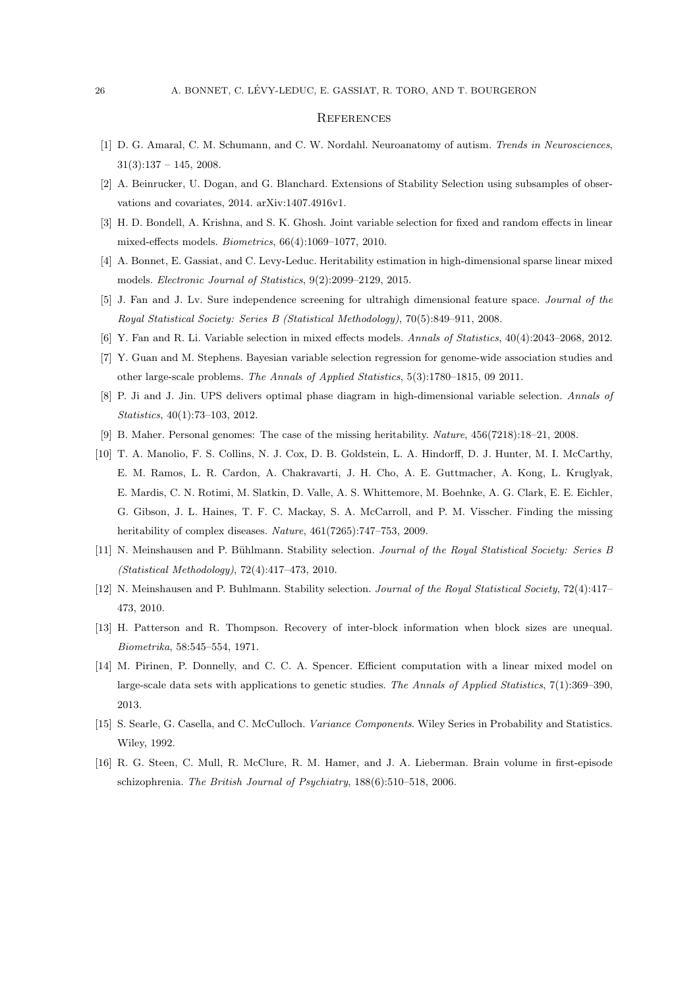#### **REFERENCES**

- <span id="page-25-3"></span>[1] D. G. Amaral, C. M. Schumann, and C. W. Nordahl. Neuroanatomy of autism. Trends in Neurosciences,  $31(3):137 - 145, 2008.$
- <span id="page-25-9"></span>[2] A. Beinrucker, U. Dogan, and G. Blanchard. Extensions of Stability Selection using subsamples of observations and covariates, 2014. arXiv:1407.4916v1.
- <span id="page-25-11"></span>[3] H. D. Bondell, A. Krishna, and S. K. Ghosh. Joint variable selection for fixed and random effects in linear mixed-effects models. Biometrics, 66(4):1069–1077, 2010.
- <span id="page-25-7"></span>[4] A. Bonnet, E. Gassiat, and C. Levy-Leduc. Heritability estimation in high-dimensional sparse linear mixed models. Electronic Journal of Statistics, 9(2):2099–2129, 2015.
- <span id="page-25-13"></span>[5] J. Fan and J. Lv. Sure independence screening for ultrahigh dimensional feature space. Journal of the Royal Statistical Society: Series B (Statistical Methodology), 70(5):849–911, 2008.
- <span id="page-25-10"></span>[6] Y. Fan and R. Li. Variable selection in mixed effects models. Annals of Statistics, 40(4):2043–2068, 2012.
- <span id="page-25-12"></span>[7] Y. Guan and M. Stephens. Bayesian variable selection regression for genome-wide association studies and other large-scale problems. The Annals of Applied Statistics, 5(3):1780–1815, 09 2011.
- <span id="page-25-14"></span>[8] P. Ji and J. Jin. UPS delivers optimal phase diagram in high-dimensional variable selection. Annals of Statistics, 40(1):73–103, 2012.
- <span id="page-25-0"></span>[9] B. Maher. Personal genomes: The case of the missing heritability. Nature, 456(7218):18–21, 2008.
- <span id="page-25-1"></span>[10] T. A. Manolio, F. S. Collins, N. J. Cox, D. B. Goldstein, L. A. Hindorff, D. J. Hunter, M. I. McCarthy, E. M. Ramos, L. R. Cardon, A. Chakravarti, J. H. Cho, A. E. Guttmacher, A. Kong, L. Kruglyak, E. Mardis, C. N. Rotimi, M. Slatkin, D. Valle, A. S. Whittemore, M. Boehnke, A. G. Clark, E. E. Eichler, G. Gibson, J. L. Haines, T. F. C. Mackay, S. A. McCarroll, and P. M. Visscher. Finding the missing heritability of complex diseases. Nature,  $461(7265):747-753$ , 2009.
- <span id="page-25-8"></span>[11] N. Meinshausen and P. Bühlmann. Stability selection. Journal of the Royal Statistical Society: Series B (Statistical Methodology), 72(4):417–473, 2010.
- <span id="page-25-15"></span>[12] N. Meinshausen and P. Buhlmann. Stability selection. Journal of the Royal Statistical Society, 72(4):417– 473, 2010.
- <span id="page-25-5"></span>[13] H. Patterson and R. Thompson. Recovery of inter-block information when block sizes are unequal. Biometrika, 58:545–554, 1971.
- <span id="page-25-4"></span>[14] M. Pirinen, P. Donnelly, and C. C. A. Spencer. Efficient computation with a linear mixed model on large-scale data sets with applications to genetic studies. The Annals of Applied Statistics, 7(1):369–390, 2013.
- <span id="page-25-6"></span>[15] S. Searle, G. Casella, and C. McCulloch. Variance Components. Wiley Series in Probability and Statistics. Wiley, 1992.
- <span id="page-25-2"></span>[16] R. G. Steen, C. Mull, R. McClure, R. M. Hamer, and J. A. Lieberman. Brain volume in first-episode schizophrenia. The British Journal of Psychiatry, 188(6):510–518, 2006.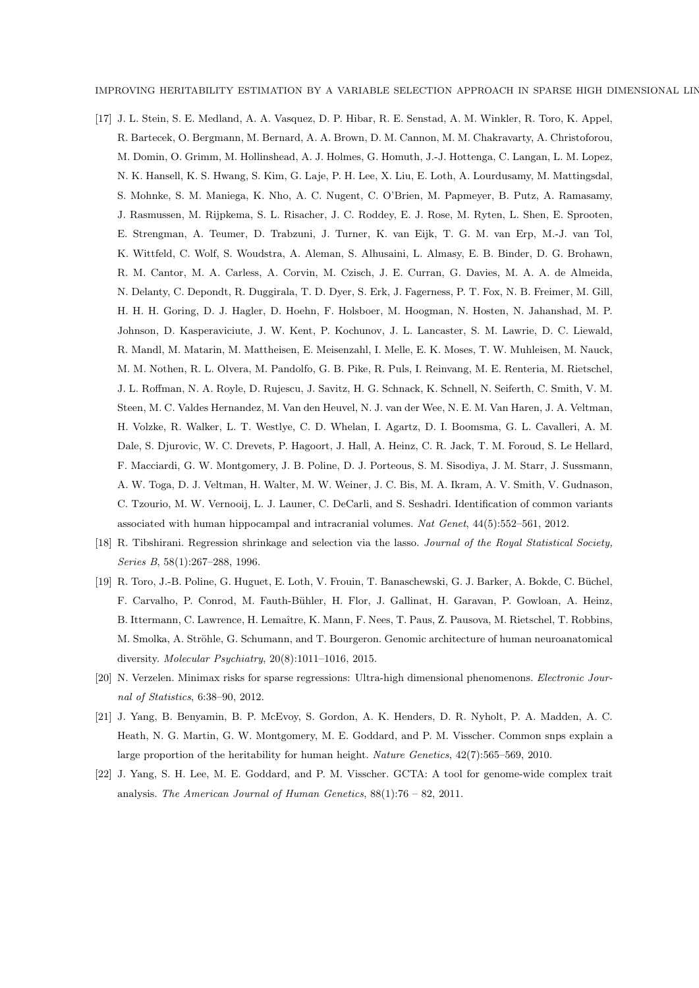IMPROVING HERITABILITY ESTIMATION BY A VARIABLE SELECTION APPROACH IN SPARSE HIGH DIMENSIONAL LIN

- <span id="page-26-0"></span>[17] J. L. Stein, S. E. Medland, A. A. Vasquez, D. P. Hibar, R. E. Senstad, A. M. Winkler, R. Toro, K. Appel, R. Bartecek, O. Bergmann, M. Bernard, A. A. Brown, D. M. Cannon, M. M. Chakravarty, A. Christoforou, M. Domin, O. Grimm, M. Hollinshead, A. J. Holmes, G. Homuth, J.-J. Hottenga, C. Langan, L. M. Lopez, N. K. Hansell, K. S. Hwang, S. Kim, G. Laje, P. H. Lee, X. Liu, E. Loth, A. Lourdusamy, M. Mattingsdal, S. Mohnke, S. M. Maniega, K. Nho, A. C. Nugent, C. O'Brien, M. Papmeyer, B. Putz, A. Ramasamy, J. Rasmussen, M. Rijpkema, S. L. Risacher, J. C. Roddey, E. J. Rose, M. Ryten, L. Shen, E. Sprooten, E. Strengman, A. Teumer, D. Trabzuni, J. Turner, K. van Eijk, T. G. M. van Erp, M.-J. van Tol, K. Wittfeld, C. Wolf, S. Woudstra, A. Aleman, S. Alhusaini, L. Almasy, E. B. Binder, D. G. Brohawn, R. M. Cantor, M. A. Carless, A. Corvin, M. Czisch, J. E. Curran, G. Davies, M. A. A. de Almeida, N. Delanty, C. Depondt, R. Duggirala, T. D. Dyer, S. Erk, J. Fagerness, P. T. Fox, N. B. Freimer, M. Gill, H. H. H. Goring, D. J. Hagler, D. Hoehn, F. Holsboer, M. Hoogman, N. Hosten, N. Jahanshad, M. P. Johnson, D. Kasperaviciute, J. W. Kent, P. Kochunov, J. L. Lancaster, S. M. Lawrie, D. C. Liewald, R. Mandl, M. Matarin, M. Mattheisen, E. Meisenzahl, I. Melle, E. K. Moses, T. W. Muhleisen, M. Nauck, M. M. Nothen, R. L. Olvera, M. Pandolfo, G. B. Pike, R. Puls, I. Reinvang, M. E. Renteria, M. Rietschel, J. L. Roffman, N. A. Royle, D. Rujescu, J. Savitz, H. G. Schnack, K. Schnell, N. Seiferth, C. Smith, V. M. Steen, M. C. Valdes Hernandez, M. Van den Heuvel, N. J. van der Wee, N. E. M. Van Haren, J. A. Veltman, H. Volzke, R. Walker, L. T. Westlye, C. D. Whelan, I. Agartz, D. I. Boomsma, G. L. Cavalleri, A. M. Dale, S. Djurovic, W. C. Drevets, P. Hagoort, J. Hall, A. Heinz, C. R. Jack, T. M. Foroud, S. Le Hellard, F. Macciardi, G. W. Montgomery, J. B. Poline, D. J. Porteous, S. M. Sisodiya, J. M. Starr, J. Sussmann, A. W. Toga, D. J. Veltman, H. Walter, M. W. Weiner, J. C. Bis, M. A. Ikram, A. V. Smith, V. Gudnason, C. Tzourio, M. W. Vernooij, L. J. Launer, C. DeCarli, and S. Seshadri. Identification of common variants associated with human hippocampal and intracranial volumes. Nat Genet, 44(5):552–561, 2012.
- <span id="page-26-5"></span>[18] R. Tibshirani. Regression shrinkage and selection via the lasso. Journal of the Royal Statistical Society, Series B, 58(1):267–288, 1996.
- <span id="page-26-1"></span>[19] R. Toro, J.-B. Poline, G. Huguet, E. Loth, V. Frouin, T. Banaschewski, G. J. Barker, A. Bokde, C. Büchel, F. Carvalho, P. Conrod, M. Fauth-B¨uhler, H. Flor, J. Gallinat, H. Garavan, P. Gowloan, A. Heinz, B. Ittermann, C. Lawrence, H. Lemaître, K. Mann, F. Nees, T. Paus, Z. Pausova, M. Rietschel, T. Robbins, M. Smolka, A. Ströhle, G. Schumann, and T. Bourgeron. Genomic architecture of human neuroanatomical diversity. Molecular Psychiatry, 20(8):1011–1016, 2015.
- <span id="page-26-4"></span>[20] N. Verzelen. Minimax risks for sparse regressions: Ultra-high dimensional phenomenons. Electronic Journal of Statistics, 6:38–90, 2012.
- <span id="page-26-3"></span>[21] J. Yang, B. Benyamin, B. P. McEvoy, S. Gordon, A. K. Henders, D. R. Nyholt, P. A. Madden, A. C. Heath, N. G. Martin, G. W. Montgomery, M. E. Goddard, and P. M. Visscher. Common snps explain a large proportion of the heritability for human height. Nature Genetics, 42(7):565–569, 2010.
- <span id="page-26-2"></span>[22] J. Yang, S. H. Lee, M. E. Goddard, and P. M. Visscher. GCTA: A tool for genome-wide complex trait analysis. The American Journal of Human Genetics,  $88(1)$ :76 – 82, 2011.